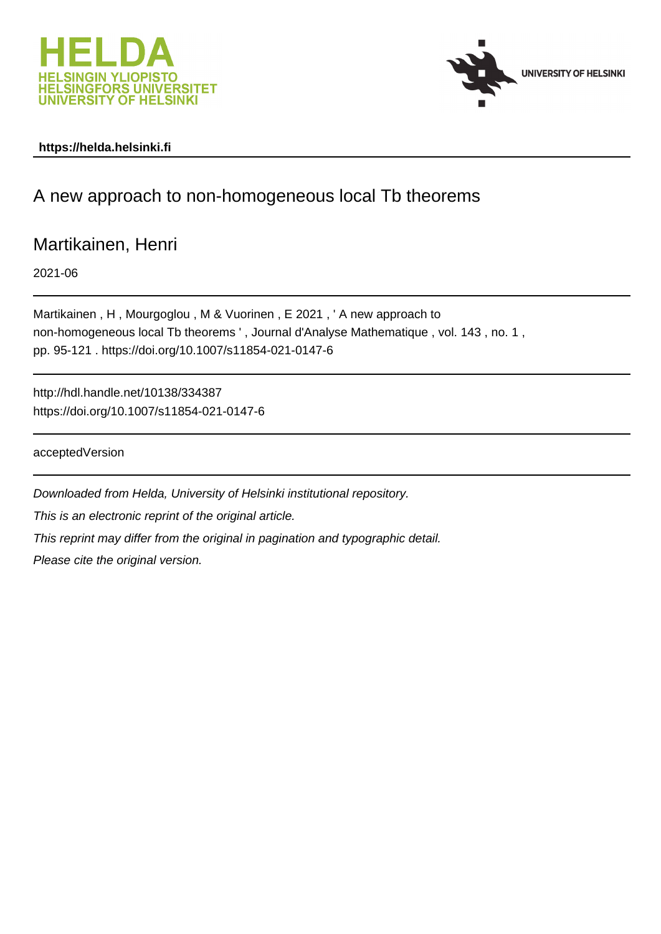



# **https://helda.helsinki.fi**

# A new approach to non-homogeneous local Tb theorems

# Martikainen, Henri

2021-06

Martikainen , H , Mourgoglou , M & Vuorinen , E 2021 , ' A new approach to non-homogeneous local Tb theorems ' , Journal d'Analyse Mathematique , vol. 143 , no. 1 , pp. 95-121 . https://doi.org/10.1007/s11854-021-0147-6

http://hdl.handle.net/10138/334387 https://doi.org/10.1007/s11854-021-0147-6

acceptedVersion

Downloaded from Helda, University of Helsinki institutional repository. This is an electronic reprint of the original article. This reprint may differ from the original in pagination and typographic detail. Please cite the original version.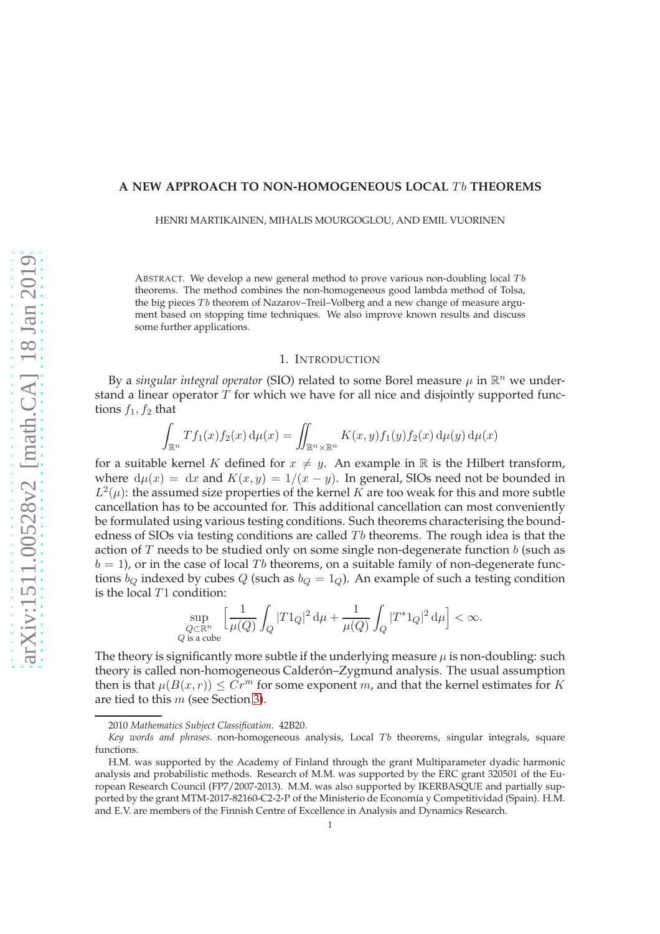### A NEW APPROACH TO NON-HOMOGENEOUS LOCAL Tb THEOREMS

HENRI MARTIKAINEN, MIHALIS MOURGOGLOU, AND EMIL VUORINEN

ABSTRACT. We develop a new general method to prove various non-doubling local  $Tb$ theorems. The method combines the non-homogeneous good lambda method of Tolsa, the big pieces  $Tb$  theorem of Nazarov–Treil–Volberg and a new change of measure argument based on stopping time techniques. We also improve known results and discuss some further applications.

#### 1. INTRODUCTION

By a *singular integral operator* (SIO) related to some Borel measure  $\mu$  in  $\mathbb{R}^n$  we understand a linear operator  $T$  for which we have for all nice and disjointly supported functions  $f_1, f_2$  that

$$
\int_{\mathbb{R}^n} Tf_1(x) f_2(x) d\mu(x) = \iint_{\mathbb{R}^n \times \mathbb{R}^n} K(x, y) f_1(y) f_2(x) d\mu(y) d\mu(x)
$$

for a suitable kernel K defined for  $x \neq y$ . An example in R is the Hilbert transform, where  $d\mu(x) = dx$  and  $K(x, y) = 1/(x - y)$ . In general, SIOs need not be bounded in  $L^2(\mu)$ : the assumed size properties of the kernel K are too weak for this and more subtle cancellation has to be accounted for. This additional cancellation can most conveniently be formulated using various testing conditions. Such theorems characterising the boundedness of SIOs via testing conditions are called  $T<sub>b</sub>$  theorems. The rough idea is that the action of  $T$  needs to be studied only on some single non-degenerate function  $b$  (such as  $b = 1$ , or in the case of local Tb theorems, on a suitable family of non-degenerate functions  $b_Q$  indexed by cubes  $Q$  (such as  $b_Q = 1_Q$ ). An example of such a testing condition is the local T1 condition:

$$
\sup_{\substack{Q\subset \mathbb{R}^n\\Q\text{ is a cube}}}\Big[\frac{1}{\mu(Q)}\int_Q |T1_Q|^2\,\mathrm{d}\mu+\frac{1}{\mu(Q)}\int_Q |T^*1_Q|^2\,\mathrm{d}\mu\Big]<\infty.
$$

The theory is significantly more subtle if the underlying measure  $\mu$  is non-doubling: such theory is called non-homogeneous Calderón–Zygmund analysis. The usual assumption then is that  $\mu(B(x, r)) \leq Cr^m$  for some exponent m, and that the kernel estimates for K are tied to this m (see Section 3).

<sup>2010</sup> *Mathematics Subject Classification.* 42B20.

Key words and phrases. non-homogeneous analysis, Local Tb theorems, singular integrals, square functions.

H.M. was supported by the Academy of Finland through the grant Multiparameter dyadic harmonic analysis and probabilistic methods. Research of M.M. was supported by the ERC grant 320501 of the European Research Council (FP7/2007-2013). M.M. was also supported by IKERBASQUE and partially supported by the grant MTM-2017-82160-C2-2-P of the Ministerio de Economía y Competitividad (Spain). H.M. and E.V. are members of the Finnish Centre of Excellence in Analysis and Dynamics Research.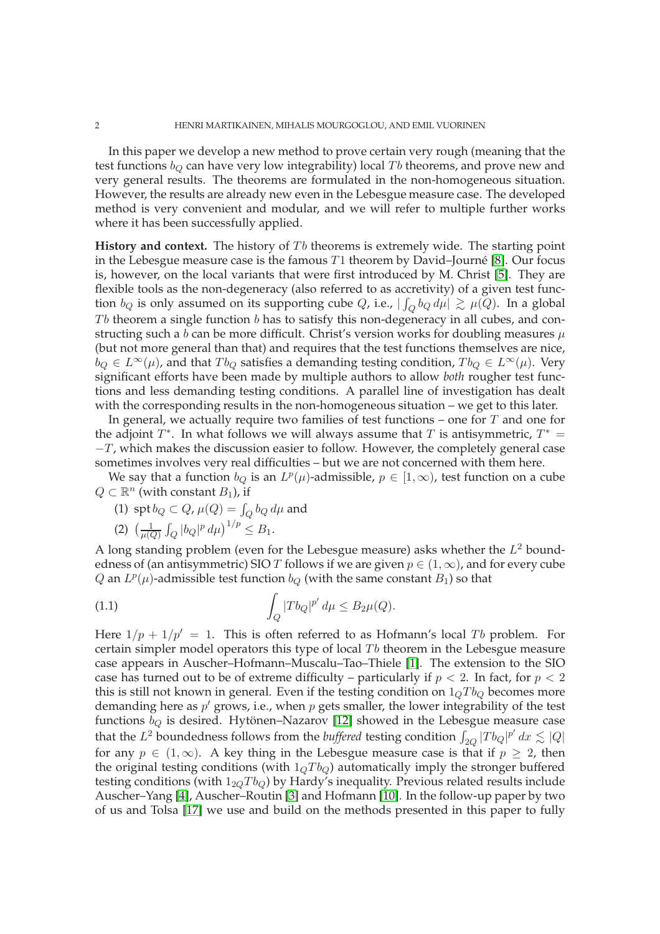In this paper we develop a new method to prove certain very rough (meaning that the test functions  $b_Q$  can have very low integrability) local Tb theorems, and prove new and very general results. The theorems are formulated in the non-homogeneous situation. However, the results are already new even in the Lebesgue measure case. The developed method is very convenient and modular, and we will refer to multiple further works where it has been successfully applied.

**History and context.** The history of Tb theorems is extremely wide. The starting point in the Lebesgue measure case is the famous T1 theorem by David–Journé [8]. Our focus is, however, on the local variants that were first introduced by M. Christ [5]. They are flexible tools as the non-degeneracy (also referred to as accretivity) of a given test function  $b_Q$  is only assumed on its supporting cube  $Q$ , i.e.,  $|\int_Q b_Q \, d\mu| \, \gtrsim \, \mu(Q).$  In a global  $Tb$  theorem a single function  $b$  has to satisfy this non-degeneracy in all cubes, and constructing such a b can be more difficult. Christ's version works for doubling measures  $\mu$ (but not more general than that) and requires that the test functions themselves are nice,  $b_Q \in L^{\infty}(\mu)$ , and that  $T b_Q$  satisfies a demanding testing condition,  $T b_Q \in L^{\infty}(\mu)$ . Very significant efforts have been made by multiple authors to allow *both* rougher test functions and less demanding testing conditions. A parallel line of investigation has dealt with the corresponding results in the non-homogeneous situation – we get to this later.

In general, we actually require two families of test functions – one for  $T$  and one for the adjoint  $T^*$ . In what follows we will always assume that T is antisymmetric,  $T^*$  =  $-T$ , which makes the discussion easier to follow. However, the completely general case sometimes involves very real difficulties – but we are not concerned with them here.

We say that a function  $b_Q$  is an  $L^p(\mu)$ -admissible,  $p \in [1,\infty)$ , test function on a cube  $Q \subset \mathbb{R}^n$  (with constant  $B_1$ ), if

(1) spt  $b_Q \subset Q$ ,  $\mu(Q) = \int_Q b_Q d\mu$  and

$$
(2) \ \left(\frac{1}{\mu(Q)} \int_Q |b_Q|^p \, d\mu\right)^{1/p} \leq B_1.
$$

A long standing problem (even for the Lebesgue measure) asks whether the  $L^2$  boundedness of (an antisymmetric) SIO T follows if we are given  $p \in (1,\infty)$ , and for every cube Q an  $L^p(\mu)$ -admissible test function  $b_Q$  (with the same constant  $B_1$ ) so that

$$
\int_{Q} |T b_{Q}|^{p'} d\mu \leq B_{2}\mu(Q).
$$

Here  $1/p + 1/p' = 1$ . This is often referred to as Hofmann's local Tb problem. For certain simpler model operators this type of local  $T<sub>b</sub>$  theorem in the Lebesgue measure case appears in Auscher–Hofmann–Muscalu–Tao–Thiele [1]. The extension to the SIO case has turned out to be of extreme difficulty – particularly if  $p < 2$ . In fact, for  $p < 2$ this is still not known in general. Even if the testing condition on  $1<sub>Q</sub>Tb<sub>Q</sub>$  becomes more demanding here as  $p'$  grows, i.e., when  $p$  gets smaller, the lower integrability of the test functions  $b_Q$  is desired. Hytönen–Nazarov [12] showed in the Lebesgue measure case that the  $L^2$  boundedness follows from the *buffered* testing condition  $\int_{2Q} |T b_Q|^{p'} dx \lesssim |Q|$ for any  $p \in (1,\infty)$ . A key thing in the Lebesgue measure case is that if  $p \geq 2$ , then the original testing conditions (with  $1<sub>Q</sub>Tb<sub>Q</sub>$ ) automatically imply the stronger buffered testing conditions (with  $1_{2Q}T_{bQ}$ ) by Hardy's inequality. Previous related results include Auscher–Yang [4], Auscher–Routin [3] and Hofmann [10]. In the follow-up paper by two of us and Tolsa [17] we use and build on the methods presented in this paper to fully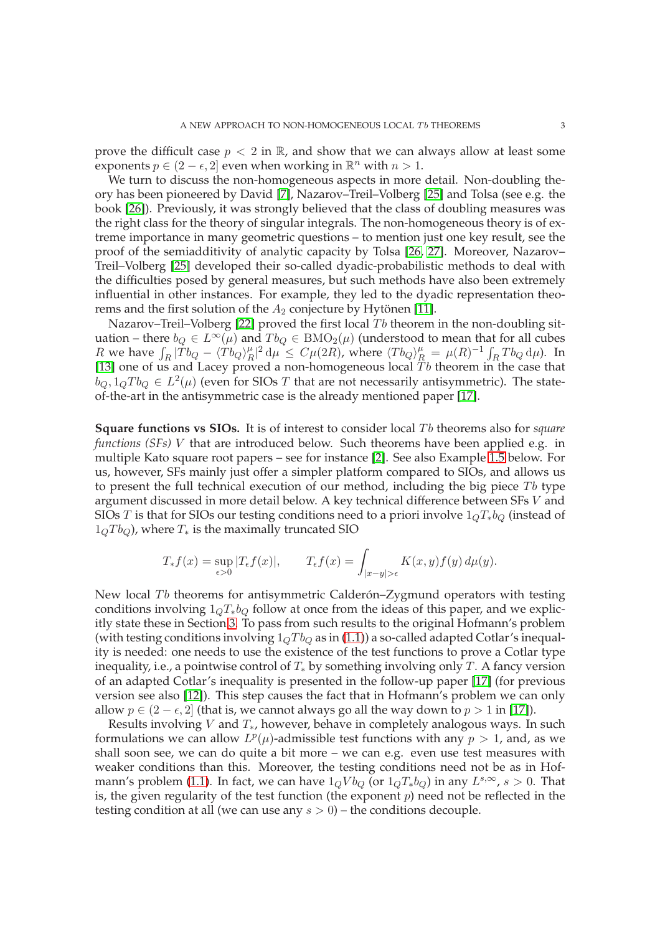prove the difficult case  $p < 2$  in  $\mathbb{R}$ , and show that we can always allow at least some exponents  $p \in (2 - \epsilon, 2]$  even when working in  $\mathbb{R}^n$  with  $n > 1$ .

We turn to discuss the non-homogeneous aspects in more detail. Non-doubling theory has been pioneered by David [7], Nazarov–Treil–Volberg [25] and Tolsa (see e.g. the book [26]). Previously, it was strongly believed that the class of doubling measures was the right class for the theory of singular integrals. The non-homogeneous theory is of extreme importance in many geometric questions – to mention just one key result, see the proof of the semiadditivity of analytic capacity by Tolsa [26, 27]. Moreover, Nazarov– Treil–Volberg [25] developed their so-called dyadic-probabilistic methods to deal with the difficulties posed by general measures, but such methods have also been extremely influential in other instances. For example, they led to the dyadic representation theorems and the first solution of the  $A_2$  conjecture by Hytönen [11].

Nazarov–Treil–Volberg [22] proved the first local  $Tb$  theorem in the non-doubling situation – there  $b_Q \in L^{\infty}(\mu)$  and  $T b_Q \in BMO_2(\mu)$  (understood to mean that for all cubes *R* we have  $\int_R |\tilde{T}b_Q - \langle \tilde{T}b_Q \rangle_H^{\mu}$  $R^{\mu}R^2 d\mu \leq C\mu(2R)$ , where  $\langle Tb_Q \rangle_R^{\mu} = \mu(R)^{-1} \int_R Tb_Q d\mu$ ). In [13] one of us and Lacey proved a non-homogeneous local  $Tb$  theorem in the case that  $b_Q, 1_Q T b_Q \in L^2(\mu)$  (even for SIOs  $T$  that are not necessarily antisymmetric). The stateof-the-art in the antisymmetric case is the already mentioned paper [17].

**Square functions vs SIOs.** It is of interest to consider local Tb theorems also for *square functions (SFs)* V that are introduced below. Such theorems have been applied e.g. in multiple Kato square root papers – see for instance [2]. See also Example 1.5 below. For us, however, SFs mainly just offer a simpler platform compared to SIOs, and allows us to present the full technical execution of our method, including the big piece  $Tb$  type argument discussed in more detail below. A key technical difference between SFs V and SIOs T is that for SIOs our testing conditions need to a priori involve  $1<sub>Q</sub>T<sub>*</sub>b<sub>Q</sub>$  (instead of  $1_0T_b$ , where  $T_*$  is the maximally truncated SIO

$$
T_*f(x) = \sup_{\epsilon > 0} |T_{\epsilon}f(x)|, \qquad T_{\epsilon}f(x) = \int_{|x-y| > \epsilon} K(x, y)f(y) d\mu(y).
$$

New local  $Tb$  theorems for antisymmetric Calderón–Zygmund operators with testing conditions involving  $1_0T_*b_0$  follow at once from the ideas of this paper, and we explicitly state these in Section 3. To pass from such results to the original Hofmann's problem (with testing conditions involving  $1_0T b_0$  as in (1.1)) a so-called adapted Cotlar's inequality is needed: one needs to use the existence of the test functions to prove a Cotlar type inequality, i.e., a pointwise control of  $T_*$  by something involving only T. A fancy version of an adapted Cotlar's inequality is presented in the follow-up paper [17] (for previous version see also [12]). This step causes the fact that in Hofmann's problem we can only allow  $p \in (2 - \epsilon, 2]$  (that is, we cannot always go all the way down to  $p > 1$  in [17]).

Results involving V and  $T_*$ , however, behave in completely analogous ways. In such formulations we can allow  $L^p(\mu)$ -admissible test functions with any  $p > 1$ , and, as we shall soon see, we can do quite a bit more – we can e.g. even use test measures with weaker conditions than this. Moreover, the testing conditions need not be as in Hofmann's problem (1.1). In fact, we can have  $1_Q V b_Q$  (or  $1_Q T_* b_Q$ ) in any  $L^{s, \infty}$ ,  $s > 0$ . That is, the given regularity of the test function (the exponent  $p$ ) need not be reflected in the testing condition at all (we can use any  $s > 0$ ) – the conditions decouple.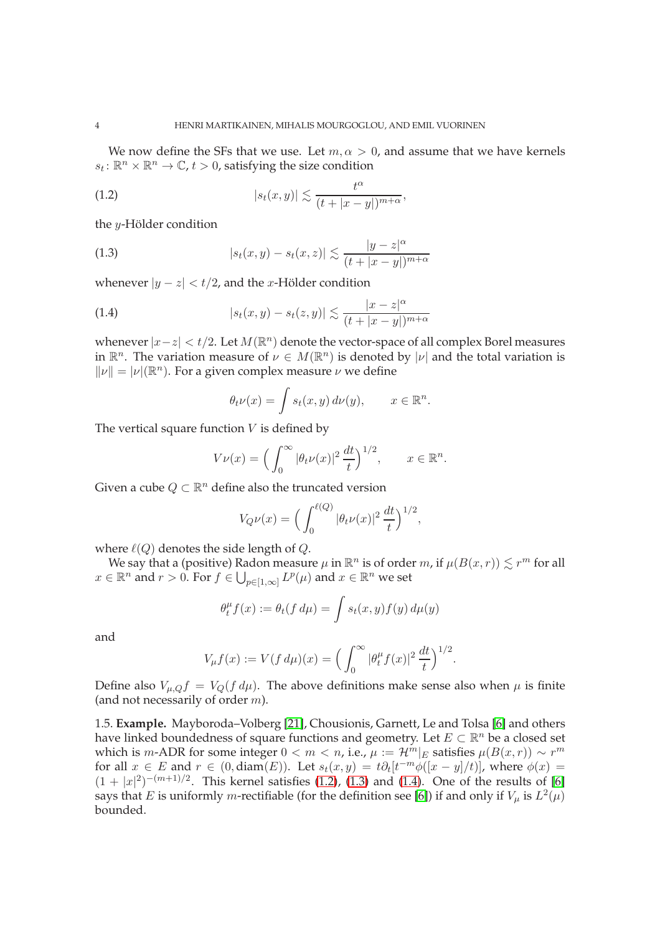We now define the SFs that we use. Let  $m, \alpha > 0$ , and assume that we have kernels  $s_t \colon \mathbb{R}^n \times \mathbb{R}^n \to \mathbb{C}$ ,  $t > 0$ , satisfying the size condition

(1.2) 
$$
|s_t(x,y)| \lesssim \frac{t^{\alpha}}{(t+|x-y|)^{m+\alpha}},
$$

the y-Hölder condition

(1.3) 
$$
|s_t(x,y) - s_t(x,z)| \lesssim \frac{|y-z|^{\alpha}}{(t+|x-y|)^{m+\alpha}}
$$

whenever  $|y - z| < t/2$ , and the *x*-Hölder condition

(1.4) 
$$
|s_t(x,y)-s_t(z,y)| \lesssim \frac{|x-z|^{\alpha}}{(t+|x-y|)^{m+\alpha}}
$$

whenever  $|x-z| < t/2$ . Let  $M(\mathbb{R}^n)$  denote the vector-space of all complex Borel measures in  $\mathbb{R}^n$ . The variation measure of  $\nu \in M(\mathbb{R}^n)$  is denoted by  $|\nu|$  and the total variation is  $||\nu|| = |\nu|(\mathbb{R}^n)$ . For a given complex measure  $\nu$  we define

$$
\theta_t \nu(x) = \int s_t(x, y) \, d\nu(y), \qquad x \in \mathbb{R}^n.
$$

The vertical square function  $V$  is defined by

$$
V\nu(x) = \left(\int_0^\infty |\theta_t \nu(x)|^2 \, \frac{dt}{t}\right)^{1/2}, \qquad x \in \mathbb{R}^n.
$$

Given a cube  $Q \subset \mathbb{R}^n$  define also the truncated version

$$
V_{Q}\nu(x) = \Big(\int_0^{\ell(Q)} |\theta_t \nu(x)|^2 \, \frac{dt}{t}\Big)^{1/2},
$$

where  $\ell(Q)$  denotes the side length of  $Q$ .

We say that a (positive) Radon measure  $\mu$  in  $\mathbb{R}^n$  is of order m, if  $\mu(B(x,r)) \lesssim r^m$  for all  $x \in \mathbb{R}^n$  and  $r > 0$ . For  $f \in \bigcup_{p \in [1,\infty]} L^p(\mu)$  and  $x \in \mathbb{R}^n$  we set

$$
\theta_t^{\mu} f(x) := \theta_t(f d\mu) = \int s_t(x, y) f(y) d\mu(y)
$$

and

$$
V_{\mu}f(x) := V(f d\mu)(x) = \left(\int_0^{\infty} |\theta_t^{\mu} f(x)|^2 \frac{dt}{t}\right)^{1/2}.
$$

Define also  $V_{\mu,Q}f = V_Q(f d\mu)$ . The above definitions make sense also when  $\mu$  is finite (and not necessarily of order  $m$ ).

1.5. **Example.** Mayboroda–Volberg [21], Chousionis, Garnett, Le and Tolsa [6] and others have linked boundedness of square functions and geometry. Let  $E \subset \mathbb{R}^n$  be a closed set which is m-ADR for some integer  $0 < m < n$ , i.e.,  $\mu := \mathcal{H}^m|_E$  satisfies  $\mu(B(x,r)) \sim r^m$ for all  $x \in E$  and  $r \in (0, \text{diam}(E))$ . Let  $s_t(x, y) = t \partial_t [t^{-m} \phi([x - y]/t)]$ , where  $\phi(x) =$  $(1+|x|^2)^{-(m+1)/2}$ . This kernel satisfies (1.2), (1.3) and (1.4). One of the results of [6] says that E is uniformly m-rectifiable (for the definition see [6]) if and only if  $V_\mu$  is  $L^2(\mu)$ bounded.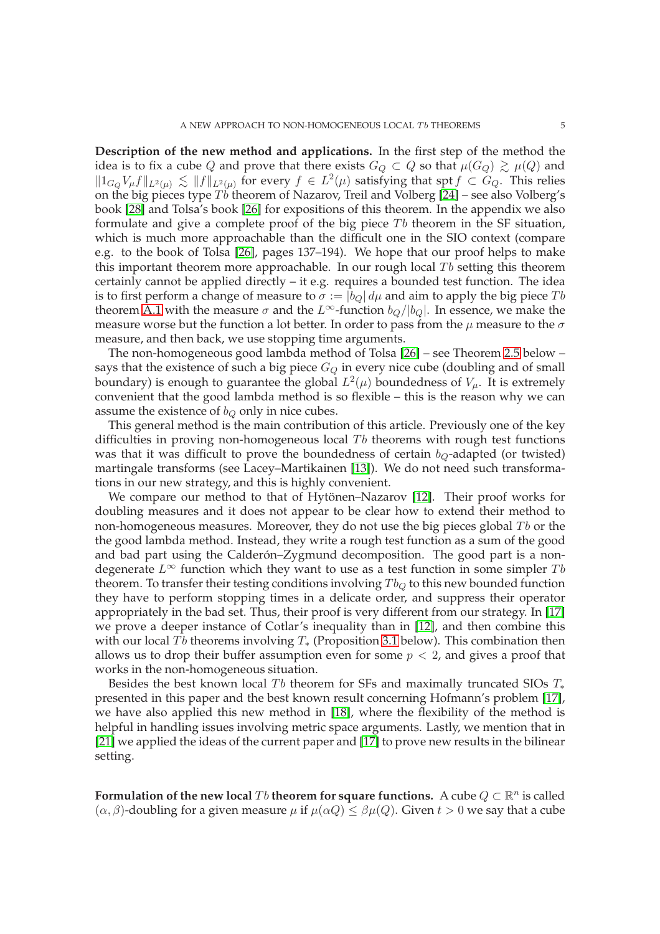**Description of the new method and applications.** In the first step of the method the idea is to fix a cube Q and prove that there exists  $G_Q \subset Q$  so that  $\mu(G_Q) \gtrsim \mu(Q)$  and  $||1_{G_Q}V_\mu f||_{L^2(\mu)} \lesssim ||f||_{L^2(\mu)}$  for every  $f \in L^2(\mu)$  satisfying that spt  $f \subset G_Q$ . This relies on the big pieces type  $T\ddot{b}$  theorem of Nazarov, Treil and Volberg [24] – see also Volberg's book [28] and Tolsa's book [26] for expositions of this theorem. In the appendix we also formulate and give a complete proof of the big piece  $T<sub>b</sub>$  theorem in the SF situation, which is much more approachable than the difficult one in the SIO context (compare e.g. to the book of Tolsa [26], pages 137–194). We hope that our proof helps to make this important theorem more approachable. In our rough local  $Tb$  setting this theorem certainly cannot be applied directly – it e.g. requires a bounded test function. The idea is to first perform a change of measure to  $\sigma := |b_{Q}| d\mu$  and aim to apply the big piece Tb theorem A.1 with the measure  $\sigma$  and the L<sup>∞</sup>-function  $b_O/|b_O|$ . In essence, we make the measure worse but the function a lot better. In order to pass from the  $\mu$  measure to the  $\sigma$ measure, and then back, we use stopping time arguments.

The non-homogeneous good lambda method of Tolsa [26] – see Theorem 2.5 below – says that the existence of such a big piece  $G_Q$  in every nice cube (doubling and of small boundary) is enough to guarantee the global  $L^2(\mu)$  boundedness of  $V_\mu$ . It is extremely convenient that the good lambda method is so flexible – this is the reason why we can assume the existence of  $b_Q$  only in nice cubes.

This general method is the main contribution of this article. Previously one of the key difficulties in proving non-homogeneous local  $Tb$  theorems with rough test functions was that it was difficult to prove the boundedness of certain  $b_Q$ -adapted (or twisted) martingale transforms (see Lacey–Martikainen [13]). We do not need such transformations in our new strategy, and this is highly convenient.

We compare our method to that of Hytönen–Nazarov [12]. Their proof works for doubling measures and it does not appear to be clear how to extend their method to non-homogeneous measures. Moreover, they do not use the big pieces global  $Tb$  or the the good lambda method. Instead, they write a rough test function as a sum of the good and bad part using the Calderón–Zygmund decomposition. The good part is a nondegenerate  $L^{\infty}$  function which they want to use as a test function in some simpler Tb theorem. To transfer their testing conditions involving  $T b_Q$  to this new bounded function they have to perform stopping times in a delicate order, and suppress their operator appropriately in the bad set. Thus, their proof is very different from our strategy. In [17] we prove a deeper instance of Cotlar's inequality than in [12], and then combine this with our local Tb theorems involving  $T_*$  (Proposition 3.1 below). This combination then allows us to drop their buffer assumption even for some  $p < 2$ , and gives a proof that works in the non-homogeneous situation.

Besides the best known local Tb theorem for SFs and maximally truncated SIOs  $T_*$ presented in this paper and the best known result concerning Hofmann's problem [17], we have also applied this new method in [18], where the flexibility of the method is helpful in handling issues involving metric space arguments. Lastly, we mention that in [21] we applied the ideas of the current paper and [17] to prove new results in the bilinear setting.

**Formulation of the new local**  $Tb$  **theorem for square functions.** A cube  $Q \subset \mathbb{R}^n$  is called  $(\alpha, \beta)$ -doubling for a given measure  $\mu$  if  $\mu(\alpha Q) \leq \beta \mu(Q)$ . Given  $t > 0$  we say that a cube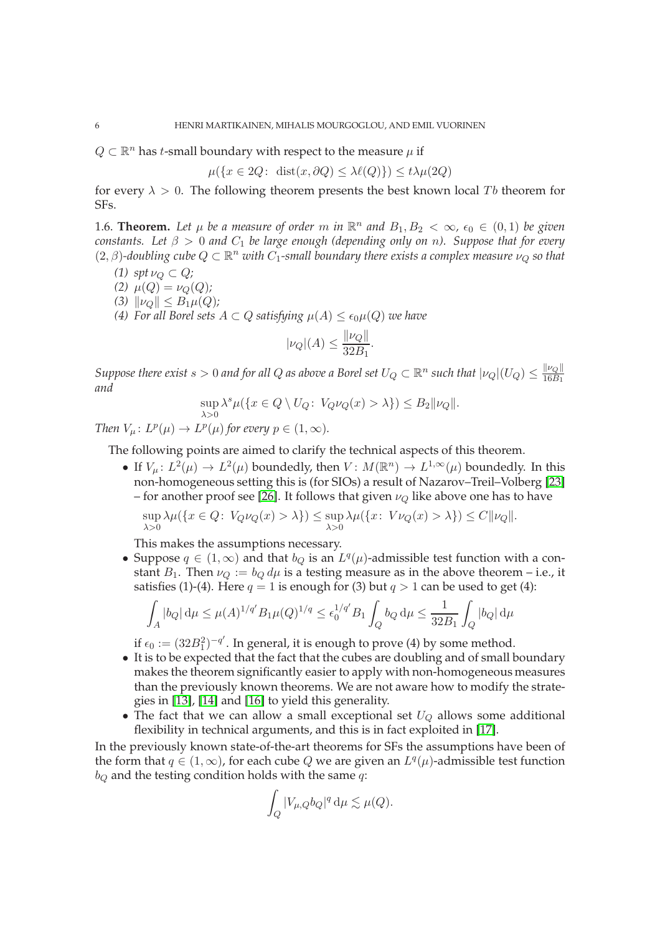$Q \subset \mathbb{R}^n$  has *t*-small boundary with respect to the measure  $\mu$  if

$$
\mu({x \in 2Q: \text{ dist}(x, \partial Q) \le \lambda \ell(Q)} \le t\lambda \mu(2Q)
$$

for every  $\lambda > 0$ . The following theorem presents the best known local Tb theorem for SFs.

1.6. **Theorem.** Let  $\mu$  be a measure of order m in  $\mathbb{R}^n$  and  $B_1, B_2 < \infty$ ,  $\epsilon_0 \in (0,1)$  be given *constants.* Let  $\beta > 0$  and  $C_1$  be large enough (depending only on n). Suppose that for every  $(2,\beta)$ -doubling cube  $Q \subset \mathbb{R}^n$  with  $C_1$ -small boundary there exists a complex measure  $\nu_Q$  so that

- *(1)*  $spt \nu_Q \subset Q$ *;*
- (2)  $\mu(Q) = \nu_Q(Q)$ ;
- $(3)$   $\|\nu_{Q}\| \leq B_1\mu(Q)$ *;*

*(4) For all Borel sets*  $A \subset Q$  *satisfying*  $\mu(A) \leq \epsilon_0 \mu(Q)$  *we have* 

$$
|\nu_Q|(A) \le \frac{\|\nu_Q\|}{32B_1}.
$$

*Suppose there exist s*  $> 0$  *and for all Q as above a Borel set*  $U_Q \subset \R^n$  *such that*  $|\nu_Q|(U_Q) \leq \frac{\|\nu_Q\|}{16B_1}$  $16B_1$ *and*

$$
\sup_{\lambda > 0} \lambda^s \mu(\{x \in Q \setminus U_Q \colon V_Q \nu_Q(x) > \lambda\}) \le B_2 \|\nu_Q\|.
$$

*Then*  $V_\mu$ :  $L^p(\mu) \to L^p(\mu)$  for every  $p \in (1, \infty)$ .

The following points are aimed to clarify the technical aspects of this theorem.

• If  $V_\mu: L^2(\mu) \to L^2(\mu)$  boundedly, then  $V: M(\mathbb{R}^n) \to L^{1,\infty}(\mu)$  boundedly. In this non-homogeneous setting this is (for SIOs) a result of Nazarov–Treil–Volberg [23] – for another proof see [26]. It follows that given  $\nu_Q$  like above one has to have

$$
\sup_{\lambda>0} \lambda \mu(\{x \in Q: V_Q \nu_Q(x) > \lambda\}) \le \sup_{\lambda>0} \lambda \mu(\{x: V \nu_Q(x) > \lambda\}) \le C \|\nu_Q\|.
$$

This makes the assumptions necessary.

• Suppose  $q \in (1,\infty)$  and that  $b_Q$  is an  $L^q(\mu)$ -admissible test function with a constant  $B_1$ . Then  $\nu_Q := b_Q d\mu$  is a testing measure as in the above theorem – i.e., it satisfies (1)-(4). Here  $q = 1$  is enough for (3) but  $q > 1$  can be used to get (4):

$$
\int_A |b_Q| \, d\mu \le \mu(A)^{1/q'} B_1 \mu(Q)^{1/q} \le \epsilon_0^{1/q'} B_1 \int_Q b_Q \, d\mu \le \frac{1}{32B_1} \int_Q |b_Q| \, d\mu
$$

if  $\epsilon_0 := (32B_1^2)^{-q'}$ . In general, it is enough to prove (4) by some method.

- It is to be expected that the fact that the cubes are doubling and of small boundary makes the theorem significantly easier to apply with non-homogeneous measures than the previously known theorems. We are not aware how to modify the strategies in [13], [14] and [16] to yield this generality.
- The fact that we can allow a small exceptional set  $U_Q$  allows some additional flexibility in technical arguments, and this is in fact exploited in [17].

In the previously known state-of-the-art theorems for SFs the assumptions have been of the form that  $q \in (1,\infty)$ , for each cube Q we are given an  $L^q(\mu)$ -admissible test function  $b<sub>O</sub>$  and the testing condition holds with the same q:

$$
\int_Q |V_{\mu,Q}b_Q|^q \, \mathrm{d}\mu \lesssim \mu(Q).
$$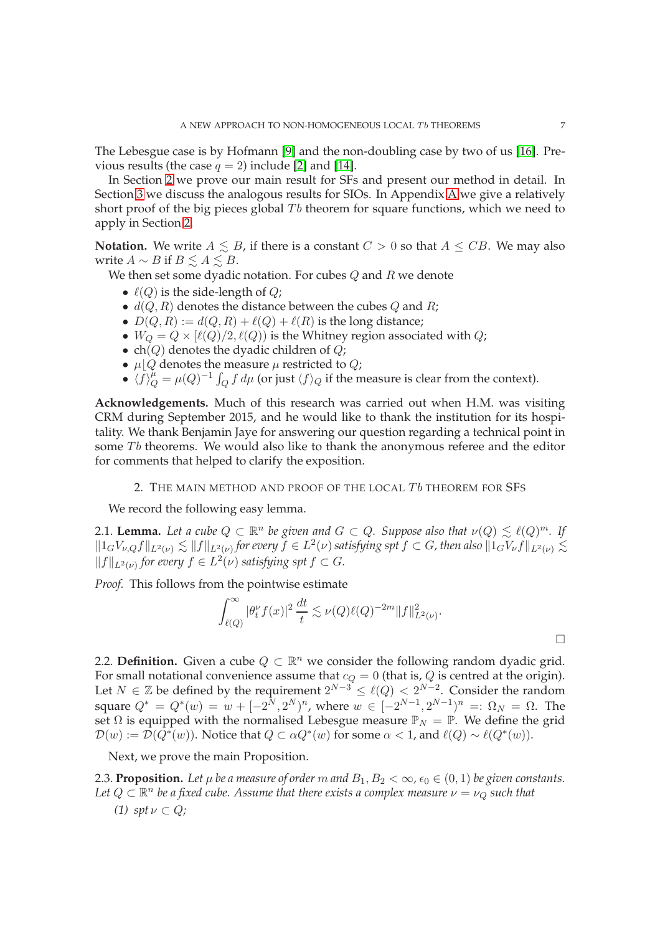The Lebesgue case is by Hofmann [9] and the non-doubling case by two of us [16]. Previous results (the case  $q = 2$ ) include [2] and [14].

In Section 2 we prove our main result for SFs and present our method in detail. In Section 3 we discuss the analogous results for SIOs. In Appendix A we give a relatively short proof of the big pieces global  $Tb$  theorem for square functions, which we need to apply in Section 2.

**Notation.** We write  $A \leq B$ , if there is a constant  $C > 0$  so that  $A \leq CB$ . We may also write  $A \sim B$  if  $B \lesssim A \lesssim B$ .

We then set some dyadic notation. For cubes  $Q$  and  $R$  we denote

- $\ell(Q)$  is the side-length of  $Q$ ;
- $d(Q, R)$  denotes the distance between the cubes  $Q$  and  $R$ ;
- $D(Q, R) := d(Q, R) + \ell(Q) + \ell(R)$  is the long distance;
- $W_Q = Q \times [\ell(Q)/2, \ell(Q)]$  is the Whitney region associated with Q;
- ch( $Q$ ) denotes the dyadic children of  $Q$ ;
- $\mu | Q$  denotes the measure  $\mu$  restricted to  $Q$ ;
- $\langle f \rangle_Q^{\mu} = \mu(Q)^{-1} \int_Q f \, d\mu$  (or just  $\langle f \rangle_Q$  if the measure is clear from the context).

**Acknowledgements.** Much of this research was carried out when H.M. was visiting CRM during September 2015, and he would like to thank the institution for its hospitality. We thank Benjamin Jaye for answering our question regarding a technical point in some  $Tb$  theorems. We would also like to thank the anonymous referee and the editor for comments that helped to clarify the exposition.

2. THE MAIN METHOD AND PROOF OF THE LOCAL  $Tb$  theorem for SFs

We record the following easy lemma.

2.1. **Lemma.** Let a cube  $Q \subset \mathbb{R}^n$  be given and  $G \subset Q$ . Suppose also that  $\nu(Q) \lesssim \ell(Q)^m$ . If  $\|1_GV_{\nu,Q}f\|_{L^2(\nu)}\lesssim \|f\|_{L^2(\nu)}$  for every  $f\in L^2(\nu)$  satisfying spt  $f\subset G$ , then also  $\|1_GV_\nu f\|_{L^2(\nu)}\lesssim$  $||f||_{L^2(\nu)}$  for every  $f \in L^2(\nu)$  satisfying spt  $f \subset G$ .

*Proof.* This follows from the pointwise estimate

$$
\int_{\ell(Q)}^{\infty} |\theta_t^{\nu} f(x)|^2 \frac{dt}{t} \lesssim \nu(Q) \ell(Q)^{-2m} ||f||_{L^2(\nu)}^2.
$$

2.2. **Definition.** Given a cube  $Q \subset \mathbb{R}^n$  we consider the following random dyadic grid. For small notational convenience assume that  $c_Q = 0$  (that is, Q is centred at the origin). Let  $N \in \mathbb{Z}$  be defined by the requirement  $2^{N-3} \leq \ell(Q) < 2^{N-2}$ . Consider the random square  $Q^* = Q^*(w) = w + [-2^N, 2^N)^n$ , where  $w \in [-2^{N-1}, 2^{N-1})^n =: \Omega_N = \Omega$ . The set  $\Omega$  is equipped with the normalised Lebesgue measure  $\mathbb{P}_N = \mathbb{P}$ . We define the grid  $\mathcal{D}(w) := \overline{\mathcal{D}}(\overline{Q^*}(w))$ . Notice that  $Q \subset \alpha Q^*(w)$  for some  $\alpha < 1$ , and  $\ell(Q) \sim \ell(Q^*(w))$ .

Next, we prove the main Proposition.

2.3. **Proposition.** Let  $\mu$  be a measure of order m and  $B_1, B_2 < \infty$ ,  $\epsilon_0 \in (0,1)$  be given constants. Let  $Q\subset \mathbb{R}^n$  be a fixed cube. Assume that there exists a complex measure  $\nu=\nu_Q$  such that *(1)*  $spt \nu \subset Q$ *;*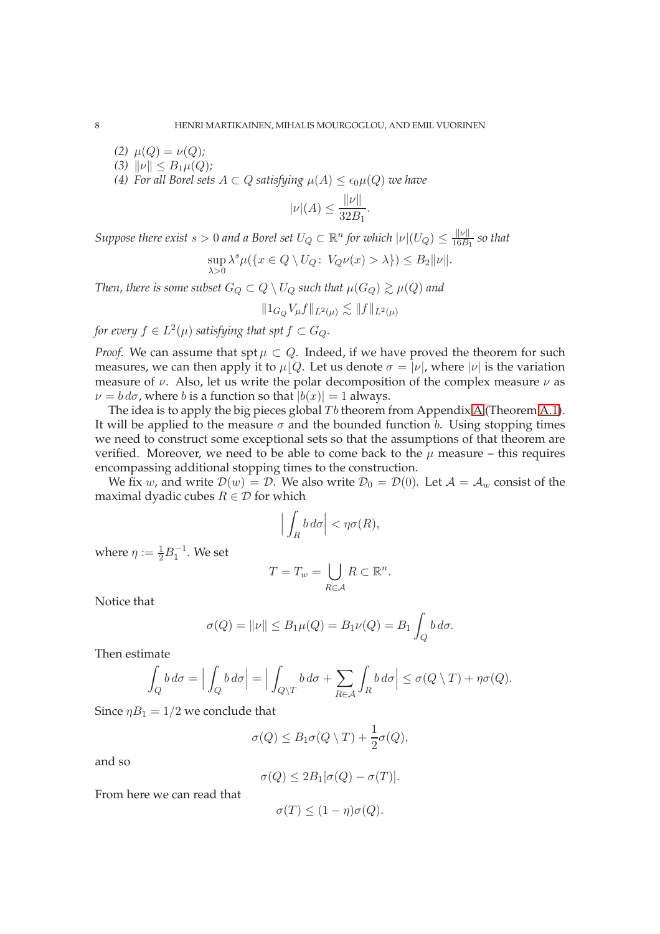*(2)*  $\mu(Q) = \nu(Q)$ *; (3)*  $\|\nu\| \leq B_1\mu(Q)$ *; (4) For all Borel sets*  $A \subset Q$  *satisfying*  $\mu(A) \leq \epsilon_0 \mu(Q)$  *we have* 

$$
|\nu|(A) \le \frac{\|\nu\|}{32B_1}
$$

.

*Suppose there exist s*  $> 0$  and a Borel set  $U_Q \subset \mathbb{R}^n$  for which  $|\nu|(U_Q) \leq \frac{\|\nu\|}{16B}$  $\frac{\|\nu\|}{16B_1}$  so that

$$
\sup_{\lambda>0} \lambda^s \mu(\{x \in Q \setminus U_Q\colon V_Q \nu(x) > \lambda\}) \le B_2 \|\nu\|.
$$

*Then, there is some subset*  $G_Q \subset Q \setminus U_Q$  *such that*  $\mu(G_Q) \gtrsim \mu(Q)$  *and* 

$$
||1_{G_Q}V_{\mu}f||_{L^2(\mu)} \lesssim ||f||_{L^2(\mu)}
$$

for every  $f\in L^2(\mu)$  satisfying that spt  $f\subset G_Q.$ 

*Proof.* We can assume that spt  $\mu \subset Q$ . Indeed, if we have proved the theorem for such measures, we can then apply it to  $\mu | Q$ . Let us denote  $\sigma = |\nu|$ , where  $|\nu|$  is the variation measure of  $\nu$ . Also, let us write the polar decomposition of the complex measure  $\nu$  as  $\nu = b d\sigma$ , where b is a function so that  $|b(x)| = 1$  always.

The idea is to apply the big pieces global  $Tb$  theorem from Appendix A (Theorem A.1). It will be applied to the measure  $\sigma$  and the bounded function *b*. Using stopping times we need to construct some exceptional sets so that the assumptions of that theorem are verified. Moreover, we need to be able to come back to the  $\mu$  measure – this requires encompassing additional stopping times to the construction.

We fix w, and write  $\mathcal{D}(w) = \mathcal{D}$ . We also write  $\mathcal{D}_0 = \mathcal{D}(0)$ . Let  $\mathcal{A} = \mathcal{A}_w$  consist of the maximal dyadic cubes  $R \in \mathcal{D}$  for which

$$
\Big|\int_R b\,d\sigma\Big|<\eta\sigma(R),
$$

where  $\eta := \frac{1}{2}B_1^{-1}$ . We set

$$
T = T_w = \bigcup_{R \in \mathcal{A}} R \subset \mathbb{R}^n.
$$

Notice that

$$
\sigma(Q) = ||\nu|| \le B_1 \mu(Q) = B_1 \nu(Q) = B_1 \int_Q b \, d\sigma.
$$

Then estimate

$$
\int_{Q} b d\sigma = \Big| \int_{Q} b d\sigma \Big| = \Big| \int_{Q \setminus T} b d\sigma + \sum_{R \in \mathcal{A}} \int_{R} b d\sigma \Big| \le \sigma(Q \setminus T) + \eta \sigma(Q).
$$

Since  $\eta B_1 = 1/2$  we conclude that

$$
\sigma(Q) \leq B_1 \sigma(Q \setminus T) + \frac{1}{2} \sigma(Q),
$$

and so

$$
\sigma(Q) \leq 2B_1[\sigma(Q) - \sigma(T)].
$$

From here we can read that

$$
\sigma(T) \le (1 - \eta)\sigma(Q).
$$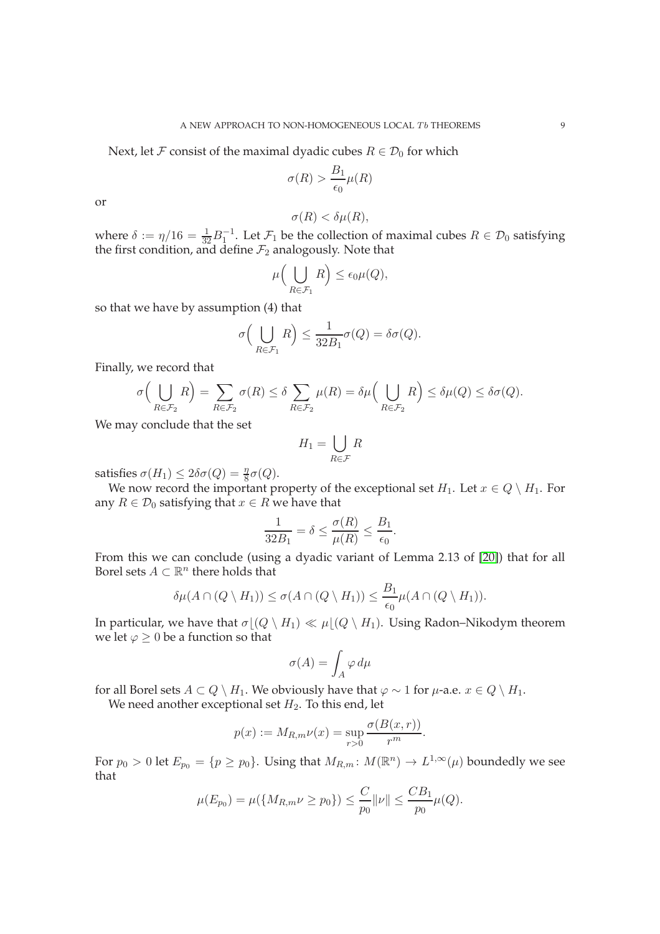Next, let F consist of the maximal dyadic cubes  $R \in \mathcal{D}_0$  for which

$$
\sigma(R) > \frac{B_1}{\epsilon_0} \mu(R)
$$

or

$$
\sigma(R) < \delta\mu(R),
$$

where  $\delta := \eta/16 = \frac{1}{32}B_1^{-1}$ . Let  $\mathcal{F}_1$  be the collection of maximal cubes  $R \in \mathcal{D}_0$  satisfying the first condition, and define  $\mathcal{F}_2$  analogously. Note that

$$
\mu\Big(\bigcup_{R\in\mathcal{F}_1}R\Big)\leq \epsilon_0\mu(Q),
$$

so that we have by assumption (4) that

$$
\sigma\Big(\bigcup_{R\in\mathcal{F}_1}R\Big)\leq \frac{1}{32B_1}\sigma(Q)=\delta\sigma(Q).
$$

Finally, we record that

$$
\sigma\Big(\bigcup_{R\in\mathcal{F}_2}R\Big)=\sum_{R\in\mathcal{F}_2}\sigma(R)\leq\delta\sum_{R\in\mathcal{F}_2}\mu(R)=\delta\mu\Big(\bigcup_{R\in\mathcal{F}_2}R\Big)\leq\delta\mu(Q)\leq\delta\sigma(Q).
$$

We may conclude that the set

$$
H_1 = \bigcup_{R \in \mathcal{F}} R
$$

satisfies  $\sigma(H_1) \leq 2\delta\sigma(Q) = \frac{\eta}{8}\sigma(Q)$ .

We now record the important property of the exceptional set  $H_1$ . Let  $x \in Q \setminus H_1$ . For any  $R \in \mathcal{D}_0$  satisfying that  $x \in R$  we have that

$$
\frac{1}{32B_1} = \delta \le \frac{\sigma(R)}{\mu(R)} \le \frac{B_1}{\epsilon_0}.
$$

From this we can conclude (using a dyadic variant of Lemma 2.13 of [20]) that for all Borel sets  $A \subset \mathbb{R}^n$  there holds that

$$
\delta\mu(A\cap (Q\setminus H_1))\leq \sigma(A\cap (Q\setminus H_1))\leq \frac{B_1}{\epsilon_0}\mu(A\cap (Q\setminus H_1)).
$$

In particular, we have that  $\sigma | (Q \setminus H_1) \ll \mu | (Q \setminus H_1)$ . Using Radon–Nikodym theorem we let  $\varphi \geq 0$  be a function so that

$$
\sigma(A) = \int_A \varphi \, d\mu
$$

for all Borel sets  $A \subset Q \setminus H_1$ . We obviously have that  $\varphi \sim 1$  for  $\mu$ -a.e.  $x \in Q \setminus H_1$ .

We need another exceptional set  $H_2$ . To this end, let

$$
p(x) := M_{R,m}\nu(x) = \sup_{r>0} \frac{\sigma(B(x,r))}{r^m}.
$$

For  $p_0 > 0$  let  $E_{p_0} = \{p \ge p_0\}$ . Using that  $M_{R,m}: M(\mathbb{R}^n) \to L^{1,\infty}(\mu)$  boundedly we see that

$$
\mu(E_{p_0}) = \mu(\{M_{R,m}\nu \ge p_0\}) \le \frac{C}{p_0} \|\nu\| \le \frac{CB_1}{p_0} \mu(Q).
$$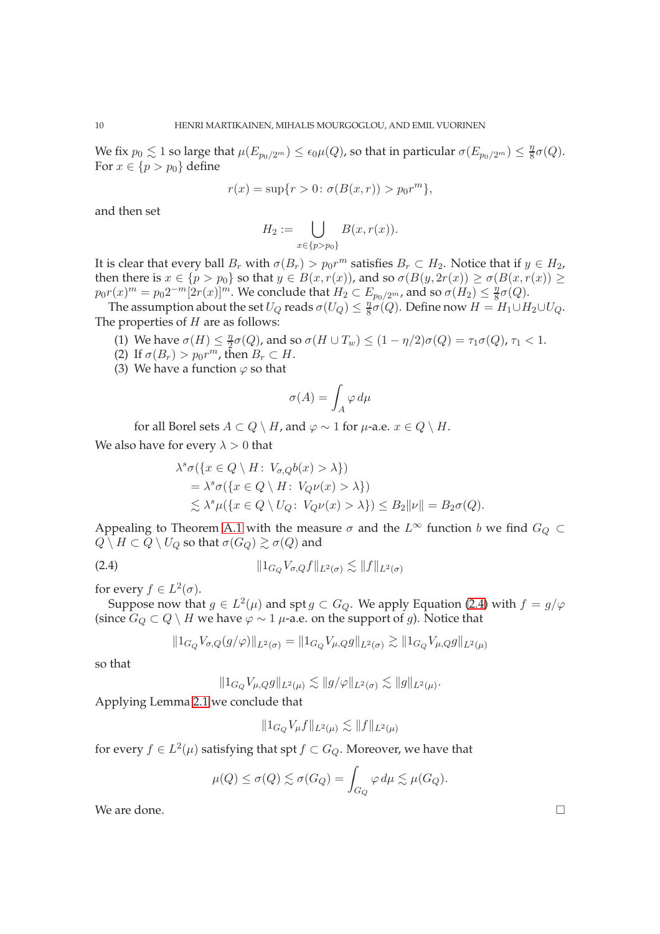We fix  $p_0 \lesssim 1$  so large that  $\mu(E_{p_0/2^m}) \leq \epsilon_0 \mu(Q)$ , so that in particular  $\sigma(E_{p_0/2^m}) \leq \frac{\eta}{8}$  $\frac{\eta}{8} \sigma(Q)$ . For  $x \in \{p > p_0\}$  define

$$
r(x) = \sup\{r > 0 \colon \sigma(B(x, r)) > p_0 r^m\},\
$$

and then set

$$
H_2 := \bigcup_{x \in \{p > p_0\}} B(x, r(x)).
$$

It is clear that every ball  $B_r$  with  $\sigma(B_r) > p_0 r^m$  satisfies  $B_r \subset H_2$ . Notice that if  $y \in H_2$ , then there is  $x \in \{p > p_0\}$  so that  $y \in B(x, r(x))$ , and so  $\sigma(B(y, 2r(x)) \ge \sigma(B(x, r(x))) \ge$  $p_0r(x)^m=p_02^{-m} [2r(x)]^m.$  We conclude that  $\widetilde{H_2}\subset E_{p_0/2^m}$ , and so  $\sigma(\widetilde{H_2})\leq \frac{\eta}{8}$  $rac{\eta}{8} \sigma(Q)$ .

The assumption about the set  $U_Q$  reads  $\sigma(U_Q) \leq \frac{\eta}{8}$  $\frac{\eta}{8}\sigma(Q)$ . Define now  $H = H_1 \cup H_2 \cup U_Q$ . The properties of  $H$  are as follows:

- (1) We have  $\sigma(H) \leq \frac{\eta}{2}$  $\frac{\eta}{2}\sigma(Q)$ , and so  $\sigma(H\cup T_w)\leq (1-\eta/2)\sigma(Q)=\tau_1\sigma(Q)$ ,  $\tau_1< 1.$
- (2) If  $\sigma(B_r) > p_0 r^m$ , then  $B_r \subset H$ .
- (3) We have a function  $\varphi$  so that

$$
\sigma(A) = \int_A \varphi \, d\mu
$$

for all Borel sets  $A \subset Q \setminus H$ , and  $\varphi \sim 1$  for  $\mu$ -a.e.  $x \in Q \setminus H$ .

We also have for every  $\lambda > 0$  that

$$
\lambda^s \sigma(\{x \in Q \setminus H \colon V_{\sigma,Q}b(x) > \lambda\})
$$
  
=  $\lambda^s \sigma(\{x \in Q \setminus H \colon V_Q \nu(x) > \lambda\})$   
 $\leq \lambda^s \mu(\{x \in Q \setminus U_Q \colon V_Q \nu(x) > \lambda\}) \leq B_2 \|\nu\| = B_2 \sigma(Q).$ 

Appealing to Theorem A.1 with the measure  $\sigma$  and the  $L^{\infty}$  function b we find  $G_Q \subset$  $Q \setminus H \subset Q \setminus U_Q$  so that  $\sigma(G_Q) \gtrsim \sigma(Q)$  and

(2.4) 
$$
||1_{G_Q} V_{\sigma,Q} f||_{L^2(\sigma)} \lesssim ||f||_{L^2(\sigma)}
$$

for every  $f \in L^2(\sigma)$ .

Suppose now that  $g \in L^2(\mu)$  and spt  $g \subset G_Q$ . We apply Equation (2.4) with  $f = g/\varphi$ (since  $G_Q$  ⊂  $Q \setminus H$  we have  $\varphi \sim 1$   $\mu$ -a.e. on the support of g). Notice that

$$
||1_{G_Q} V_{\sigma,Q}(g/\varphi)||_{L^2(\sigma)} = ||1_{G_Q} V_{\mu,Q} g||_{L^2(\sigma)} \gtrsim ||1_{G_Q} V_{\mu,Q} g||_{L^2(\mu)}
$$

so that

$$
||1_{G_Q}V_{\mu,Q}g||_{L^2(\mu)} \lesssim ||g/\varphi||_{L^2(\sigma)} \lesssim ||g||_{L^2(\mu)}.
$$

Applying Lemma 2.1 we conclude that

$$
||1_{G_Q}V_{\mu}f||_{L^2(\mu)} \lesssim ||f||_{L^2(\mu)}
$$

for every  $f\in L^2(\mu)$  satisfying that spt  $f\subset G_Q.$  Moreover, we have that

$$
\mu(Q) \le \sigma(Q) \lesssim \sigma(G_Q) = \int_{G_Q} \varphi \, d\mu \lesssim \mu(G_Q).
$$

We are done.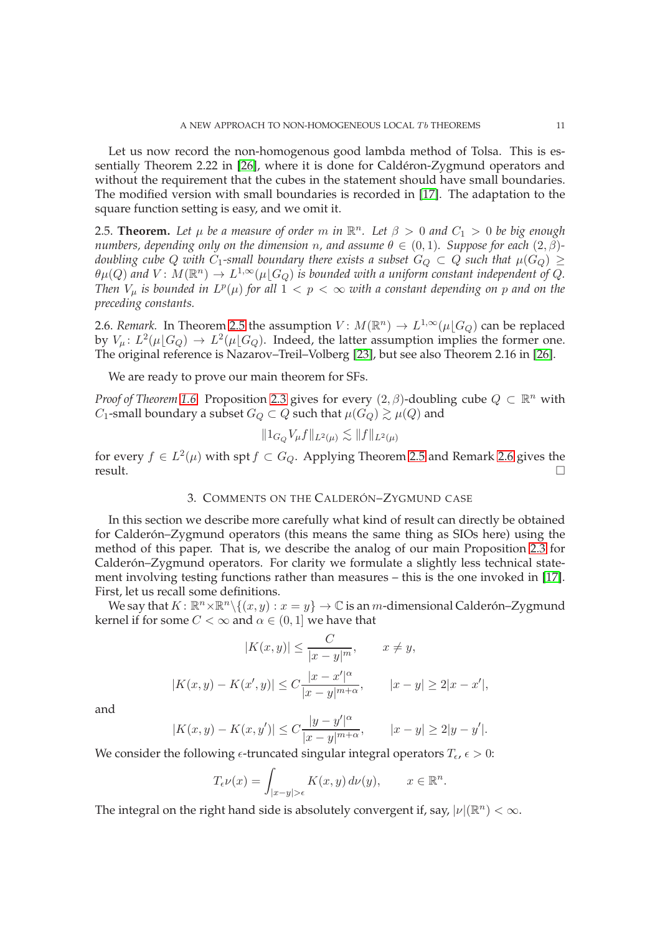Let us now record the non-homogenous good lambda method of Tolsa. This is essentially Theorem 2.22 in [26], where it is done for Caldéron-Zygmund operators and without the requirement that the cubes in the statement should have small boundaries. The modified version with small boundaries is recorded in [17]. The adaptation to the square function setting is easy, and we omit it.

2.5. **Theorem.** Let  $\mu$  be a measure of order m in  $\mathbb{R}^n$ . Let  $\beta > 0$  and  $C_1 > 0$  be big enough *numbers, depending only on the dimension n, and assume*  $\theta \in (0,1)$ *. Suppose for each*  $(2,\beta)$ *doubling cube* Q *with* C<sub>1</sub>-small boundary there exists a subset  $G_Q \subset Q$  such that  $\mu(G_Q) \ge$  $\theta\mu(Q)$  and  $V\colon M(\mathbb{R}^n)\to L^{1,\infty}(\mu\lfloor G_Q)$  is bounded with a uniform constant independent of  $Q$ . *Then*  $V_\mu$  is bounded in  $L^p(\mu)$  for all  $1 < p < \infty$  with a constant depending on p and on the *preceding constants.*

2.6. *Remark*. In Theorem 2.5 the assumption  $V: M(\mathbb{R}^n) \to L^{1,\infty}(\mu\lfloor G_Q)$  can be replaced by  $V_\mu: L^2(\mu\lfloor G_Q) \to L^2(\mu\lfloor G_Q)$ . Indeed, the latter assumption implies the former one. The original reference is Nazarov–Treil–Volberg [23], but see also Theorem 2.16 in [26].

We are ready to prove our main theorem for SFs.

*Proof of Theorem 1.6.* Proposition 2.3 gives for every  $(2, \beta)$ -doubling cube  $Q \subset \mathbb{R}^n$  with  $C_1$ -small boundary a subset  $G_Q \subset Q$  such that  $\mu(G_Q) \gtrsim \mu(Q)$  and

$$
||1_{G_Q}V_{\mu}f||_{L^2(\mu)} \lesssim ||f||_{L^2(\mu)}
$$

for every  $f \in L^2(\mu)$  with spt  $f \subset G_Q$ . Applying Theorem 2.5 and Remark 2.6 gives the  $r$ esult.  $\Box$ 

## 3. COMMENTS ON THE CALDERÓN–ZYGMUND CASE

In this section we describe more carefully what kind of result can directly be obtained for Calderón–Zygmund operators (this means the same thing as SIOs here) using the method of this paper. That is, we describe the analog of our main Proposition 2.3 for Calderón–Zygmund operators. For clarity we formulate a slightly less technical statement involving testing functions rather than measures – this is the one invoked in [17]. First, let us recall some definitions.

We say that  $K: \mathbb{R}^n \times \mathbb{R}^n \setminus \{(x, y) : x = y\} \to \mathbb{C}$  is an m-dimensional Calderón–Zygmund kernel if for some  $C < \infty$  and  $\alpha \in (0, 1]$  we have that

$$
|K(x,y)| \le \frac{C}{|x-y|^m}, \qquad x \neq y,
$$

$$
|K(x,y) - K(x',y)| \le C\frac{|x - x'|^{\alpha}}{|x - y|^{m + \alpha}}, \qquad |x - y| \ge 2|x - x'|,
$$

and

$$
|K(x,y) - K(x,y')| \le C \frac{|y-y'|^{\alpha}}{|x-y|^{m+\alpha}}, \qquad |x-y| \ge 2|y-y'|.
$$

We consider the following  $\epsilon$ -truncated singular integral operators  $T_{\epsilon}$ ,  $\epsilon > 0$ :

$$
T_{\epsilon}\nu(x) = \int_{|x-y|>\epsilon} K(x,y) \, d\nu(y), \qquad x \in \mathbb{R}^n
$$

.

The integral on the right hand side is absolutely convergent if, say,  $|\nu|(\mathbb{R}^n) < \infty$ .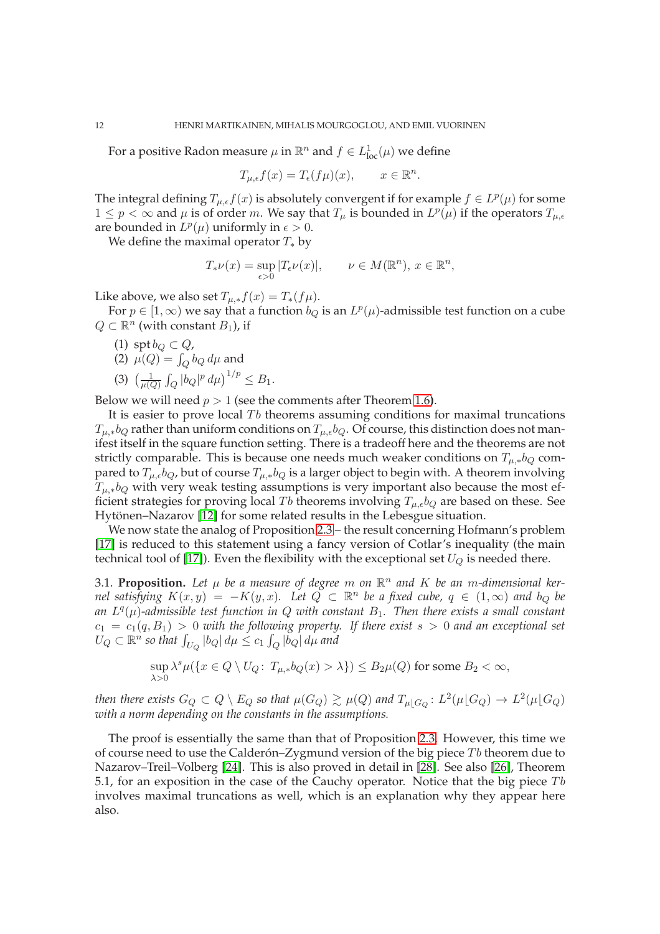For a positive Radon measure  $\mu$  in  $\mathbb{R}^n$  and  $f \in L^1_{\text{loc}}(\mu)$  we define

$$
T_{\mu,\epsilon}f(x) = T_{\epsilon}(f\mu)(x), \qquad x \in \mathbb{R}^n.
$$

The integral defining  $T_{\mu,\epsilon}f(x)$  is absolutely convergent if for example  $f \in L^p(\mu)$  for some  $1 \leq p < \infty$  and  $\mu$  is of order m. We say that  $T_{\mu}$  is bounded in  $L^p(\mu)$  if the operators  $T_{\mu,\epsilon}$ are bounded in  $L^p(\mu)$  uniformly in  $\epsilon > 0$ .

We define the maximal operator  $T_*$  by

$$
T_*\nu(x) = \sup_{\epsilon > 0} |T_{\epsilon}\nu(x)|, \qquad \nu \in M(\mathbb{R}^n), \, x \in \mathbb{R}^n,
$$

Like above, we also set  $T_{\mu,*}f(x) = T_*(f\mu)$ .

For  $p \in [1,\infty)$  we say that a function  $b_Q$  is an  $L^p(\mu)$ -admissible test function on a cube  $Q \subset \mathbb{R}^n$  (with constant  $B_1$ ), if

- (1) spt  $b_Q \subset Q$ , (2)  $\mu(Q) = \int_Q b_Q \, d\mu$  and
- (3)  $\left(\frac{1}{u(t)}\right)$
- $\frac{1}{\mu(Q)} \int_Q |b_Q|^p \, d\mu \right)^{1/p} \leq B_1.$

Below we will need  $p > 1$  (see the comments after Theorem 1.6).

It is easier to prove local  $T<sub>b</sub>$  theorems assuming conditions for maximal truncations  $T_{\mu,*}b_Q$  rather than uniform conditions on  $T_{\mu,\epsilon}b_Q$ . Of course, this distinction does not manifest itself in the square function setting. There is a tradeoff here and the theorems are not strictly comparable. This is because one needs much weaker conditions on  $T_{\mu,*}b_Q$  compared to  $T_{\mu,\epsilon}b_Q$ , but of course  $T_{\mu,*}b_Q$  is a larger object to begin with. A theorem involving  $T_{\mu,*}b_Q$  with very weak testing assumptions is very important also because the most efficient strategies for proving local Tb theorems involving  $T_{\mu,\epsilon}b_Q$  are based on these. See Hytönen–Nazarov [12] for some related results in the Lebesgue situation.

We now state the analog of Proposition 2.3 – the result concerning Hofmann's problem [17] is reduced to this statement using a fancy version of Cotlar's inequality (the main technical tool of [17]). Even the flexibility with the exceptional set  $U_Q$  is needed there.

3.1. **Proposition.** Let  $\mu$  be a measure of degree m on  $\mathbb{R}^n$  and K be an m-dimensional ker*nel satisfying*  $K(x,y) = -K(y,x)$ . Let  $Q \subset \mathbb{R}^n$  be a fixed cube,  $q \in (1,\infty)$  and  $b_Q$  be *an* L q (µ)*-admissible test function in* Q *with constant* B1*. Then there exists a small constant*  $c_1 = c_1(q, B_1) > 0$  *with the following property.* If there exist  $s > 0$  and an exceptional set  $U_Q\subset \mathbb{R}^n$  so that  $\int_{U_Q}|b_Q|\, d\mu \leq c_1 \int_Q |\bar b_Q|\, d\mu$  and

$$
\sup_{\lambda>0} \lambda^s \mu(\{x \in Q \setminus U_Q\colon T_{\mu,*}b_Q(x) > \lambda\}) \le B_2\mu(Q) \text{ for some } B_2 < \infty,
$$

*then there exists*  $G_Q\subset Q\setminus E_Q$  *so that*  $\mu(G_Q)\gtrsim \mu(Q)$  *and*  $T_{\mu\lfloor G_Q\rfloor}\colon L^2(\mu\lfloor G_Q)\to L^2(\mu\lfloor G_Q)$ *with a norm depending on the constants in the assumptions.*

The proof is essentially the same than that of Proposition 2.3. However, this time we of course need to use the Calderón–Zygmund version of the big piece  $Tb$  theorem due to Nazarov–Treil–Volberg [24]. This is also proved in detail in [28]. See also [26], Theorem 5.1, for an exposition in the case of the Cauchy operator. Notice that the big piece  $Tb$ involves maximal truncations as well, which is an explanation why they appear here also.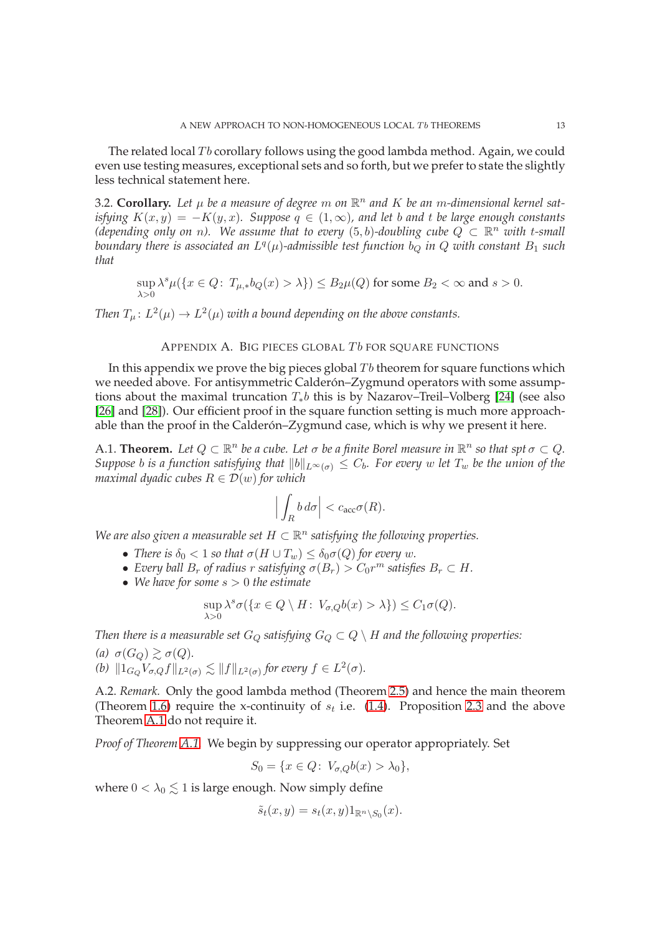The related local  $Tb$  corollary follows using the good lambda method. Again, we could even use testing measures, exceptional sets and so forth, but we prefer to state the slightly less technical statement here.

3.2. Corollary. Let  $\mu$  be a measure of degree m on  $\mathbb{R}^n$  and  $K$  be an m-dimensional kernel sat*isfying*  $K(x, y) = -K(y, x)$ *. Suppose*  $q \in (1, \infty)$ *, and let b and t be large enough constants*  $(depending on by on n)$ . We assume that to every  $(5,b)$ -doubling cube  $Q<sup>∞</sup> ⊂ R<sup>n</sup>$  with t-small boundary there is associated an  $L^q(\mu)$ -admissible test function  $b_Q$  in  $Q$  with constant  $B_1$  such *that*

$$
\sup_{\lambda>0} \lambda^s \mu(\{x\in Q\colon\, T_{\mu, *}b_Q(x)>\lambda\})\leq B_2\mu(Q)\text{ for some }B_2<\infty\text{ and }s>0.
$$

Then  $T_{\mu}$ :  $L^2(\mu) \to L^2(\mu)$  with a bound depending on the above constants.

## APPENDIX A. BIG PIECES GLOBAL  $Tb$  for square functions

In this appendix we prove the big pieces global  $Tb$  theorem for square functions which we needed above. For antisymmetric Calderón–Zygmund operators with some assumptions about the maximal truncation  $T_*b$  this is by Nazarov–Treil–Volberg [24] (see also [26] and [28]). Our efficient proof in the square function setting is much more approachable than the proof in the Calderón–Zygmund case, which is why we present it here.

A.1. **Theorem.** Let  $Q \subset \mathbb{R}^n$  be a cube. Let  $\sigma$  be a finite Borel measure in  $\mathbb{R}^n$  so that spt  $\sigma \subset Q$ . *Suppose b is a function satisfying that*  $||b||_{L^{\infty}(\sigma)} \leq C_b$ . For every w let  $T_w$  be the union of the *maximal dyadic cubes*  $R \in \mathcal{D}(w)$  *for which* 

$$
\Big|\int_R b\,d\sigma\Big| < c_{\rm acc}\sigma(R).
$$

We are also given a measurable set  $H \subset \mathbb{R}^n$  satisfying the following properties.

- *There is*  $\delta_0 < 1$  *so that*  $\sigma(H \cup T_w) \leq \delta_0 \sigma(Q)$  *for every w.*
- Every ball  $B_r$  of radius r satisfying  $\sigma(B_r) > C_0 r^m$  satisfies  $B_r \subset H$ .
- *We have for some* s > 0 *the estimate*

$$
\sup_{\lambda>0} \lambda^s \sigma(\{x \in Q \setminus H \colon V_{\sigma,Q}b(x) > \lambda\}) \le C_1 \sigma(Q).
$$

*Then there is a measurable set*  $G_Q$  *satisfying*  $G_Q \subset Q \setminus H$  *and the following properties:* 

*(a)*  $\sigma(G_Q) \gtrsim \sigma(Q)$ *. (b)*  $\|1_{G_Q} V_{\sigma, Q} f\|_{L^2(\sigma)} \lesssim \|f\|_{L^2(\sigma)}$  for every  $f \in L^2(\sigma)$ *.* 

A.2. *Remark.* Only the good lambda method (Theorem 2.5) and hence the main theorem (Theorem 1.6) require the x-continuity of  $s_t$  i.e. (1.4). Proposition 2.3 and the above Theorem A.1 do not require it.

*Proof of Theorem A.1.* We begin by suppressing our operator appropriately. Set

$$
S_0 = \{x \in Q: V_{\sigma,Q}b(x) > \lambda_0\},\
$$

where  $0 < \lambda_0 \leq 1$  is large enough. Now simply define

$$
\tilde{s}_t(x,y) = s_t(x,y) 1_{\mathbb{R}^n \setminus S_0}(x).
$$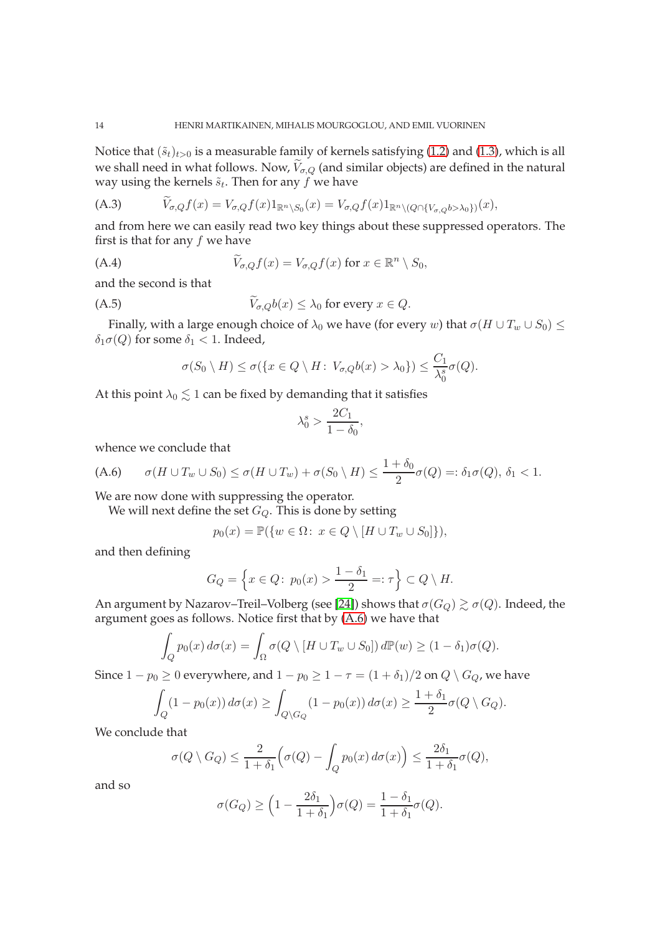Notice that  $(\tilde{s}_t)_{t>0}$  is a measurable family of kernels satisfying (1.2) and (1.3), which is all we shall need in what follows. Now,  $V_{\sigma,Q}$  (and similar objects) are defined in the natural way using the kernels  $\tilde{s}_t$ . Then for any  $f$  we have

(A.3) 
$$
V_{\sigma,Q}f(x) = V_{\sigma,Q}f(x)1_{\mathbb{R}^n\setminus S_0}(x) = V_{\sigma,Q}f(x)1_{\mathbb{R}^n\setminus (Q\cap \{V_{\sigma,Q}b>\lambda_0\})}(x),
$$

and from here we can easily read two key things about these suppressed operators. The first is that for any  $f$  we have

(A.4) 
$$
\widetilde{V}_{\sigma,Q}f(x) = V_{\sigma,Q}f(x) \text{ for } x \in \mathbb{R}^n \setminus S_0,
$$

and the second is that

$$
\widetilde{V}_{\sigma,Q}b(x) \leq \lambda_0 \text{ for every } x \in Q.
$$

Finally, with a large enough choice of  $\lambda_0$  we have (for every w) that  $\sigma(H \cup T_w \cup S_0) \leq$  $\delta_1 \sigma(Q)$  for some  $\delta_1 < 1$ . Indeed,

$$
\sigma(S_0 \setminus H) \le \sigma(\{x \in Q \setminus H \colon V_{\sigma,Q}b(x) > \lambda_0\}) \le \frac{C_1}{\lambda_0^s} \sigma(Q).
$$

At this point  $\lambda_0 \lesssim 1$  can be fixed by demanding that it satisfies

$$
\lambda_0^s > \frac{2C_1}{1 - \delta_0},
$$

whence we conclude that

(A.6) 
$$
\sigma(H \cup T_w \cup S_0) \leq \sigma(H \cup T_w) + \sigma(S_0 \setminus H) \leq \frac{1+\delta_0}{2}\sigma(Q) =: \delta_1 \sigma(Q), \ \delta_1 < 1.
$$

We are now done with suppressing the operator.

We will next define the set  $G_Q$ . This is done by setting

$$
p_0(x) = \mathbb{P}(\{w \in \Omega : x \in Q \setminus [H \cup T_w \cup S_0]\}),
$$

and then defining

$$
G_Q = \left\{ x \in Q \colon p_0(x) > \frac{1 - \delta_1}{2} =: \tau \right\} \subset Q \setminus H.
$$

An argument by Nazarov–Treil–Volberg (see [24]) shows that  $\sigma(G_Q) \gtrsim \sigma(Q)$ . Indeed, the argument goes as follows. Notice first that by (A.6) we have that

$$
\int_{Q} p_0(x) d\sigma(x) = \int_{\Omega} \sigma(Q \setminus [H \cup T_w \cup S_0]) d\mathbb{P}(w) \ge (1 - \delta_1)\sigma(Q).
$$

Since  $1 - p_0 \ge 0$  everywhere, and  $1 - p_0 \ge 1 - \tau = (1 + \delta_1)/2$  on  $Q \setminus G_Q$ , we have

$$
\int_{Q} (1 - p_0(x)) d\sigma(x) \ge \int_{Q \setminus G_Q} (1 - p_0(x)) d\sigma(x) \ge \frac{1 + \delta_1}{2} \sigma(Q \setminus G_Q).
$$

We conclude that

$$
\sigma(Q \setminus G_Q) \leq \frac{2}{1+\delta_1} \Big( \sigma(Q) - \int_Q p_0(x) \, d\sigma(x) \Big) \leq \frac{2\delta_1}{1+\delta_1} \sigma(Q),
$$

and so

$$
\sigma(G_Q) \ge \left(1 - \frac{2\delta_1}{1 + \delta_1}\right)\sigma(Q) = \frac{1 - \delta_1}{1 + \delta_1}\sigma(Q).
$$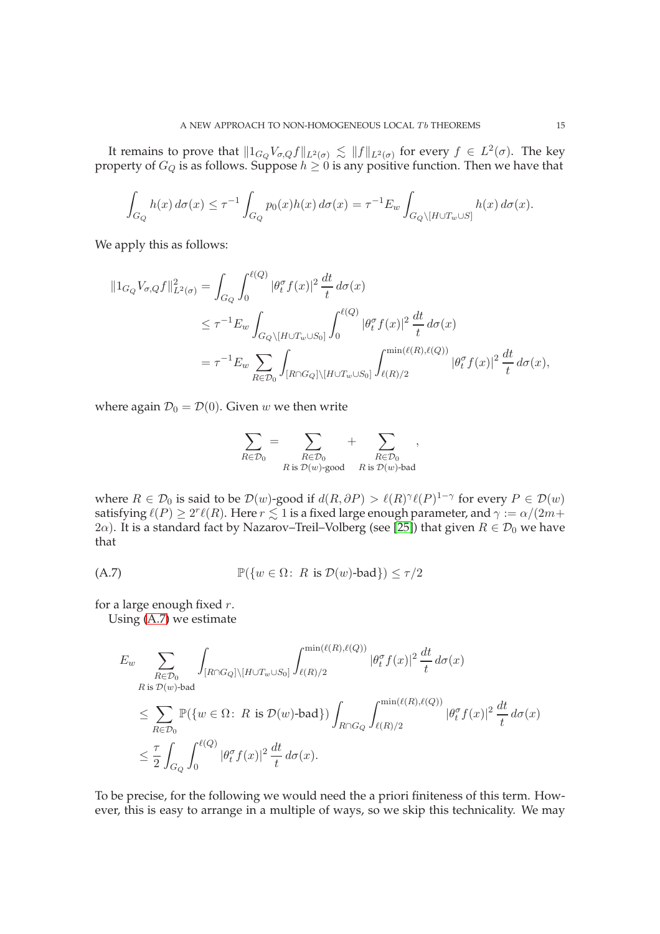It remains to prove that  $\|1_{G_Q}V_{\sigma,Q}f\|_{L^2(\sigma)} \lesssim \|f\|_{L^2(\sigma)}$  for every  $f \in L^2(\sigma)$ . The key property of  $G_Q$  is as follows. Suppose  $h\geq 0$  is any positive function. Then we have that

$$
\int_{G_Q} h(x) d\sigma(x) \le \tau^{-1} \int_{G_Q} p_0(x) h(x) d\sigma(x) = \tau^{-1} E_w \int_{G_Q \setminus [H \cup T_w \cup S]} h(x) d\sigma(x).
$$

We apply this as follows:

$$
\begin{split} \|\mathbf{1}_{G_Q} V_{\sigma,Q} f\|_{L^2(\sigma)}^2 &= \int_{G_Q} \int_0^{\ell(Q)} |\theta_t^{\sigma} f(x)|^2 \frac{dt}{t} \, d\sigma(x) \\ &\leq \tau^{-1} E_w \int_{G_Q \setminus [H \cup T_w \cup S_0]} \int_0^{\ell(Q)} |\theta_t^{\sigma} f(x)|^2 \frac{dt}{t} \, d\sigma(x) \\ &= \tau^{-1} E_w \sum_{R \in \mathcal{D}_0} \int_{[R \cap G_Q] \setminus [H \cup T_w \cup S_0]} \int_{\ell(R)/2}^{\min(\ell(R), \ell(Q))} |\theta_t^{\sigma} f(x)|^2 \frac{dt}{t} \, d\sigma(x), \end{split}
$$

where again  $\mathcal{D}_0 = \mathcal{D}(0)$ . Given w we then write

$$
\sum_{R\in \mathcal{D}_0}=\sum_{\substack{R\in \mathcal{D}_0\\R \text{ is } \mathcal{D}(w)\text{-good} }}+\sum_{\substack{R\in \mathcal{D}_0\\R \text{ is } \mathcal{D}(w)\text{-bad}}},
$$

where  $R \in \mathcal{D}_0$  is said to be  $\mathcal{D}(w)$ -good if  $d(R, \partial P) > \ell(R)^{\gamma} \ell(P)^{1-\gamma}$  for every  $P \in \mathcal{D}(w)$ satisfying  $\ell(P)\geq 2^r\ell(R)$ . Here  $r\lesssim 1$  is a fixed large enough parameter, and  $\gamma:=\alpha/(2m+1)$ 2 $\alpha$ ). It is a standard fact by Nazarov–Treil–Volberg (see [25]) that given  $R \in \mathcal{D}_0$  we have that

$$
\mathbb{P}(\{w \in \Omega : R \text{ is } \mathcal{D}(w)\text{-bad}\}) \le \tau/2
$$

for a large enough fixed  $r$ .

Using (A.7) we estimate

$$
E_w \sum_{\substack{R \in \mathcal{D}_0 \\ R \text{ is } \mathcal{D}(w) \text{-bad}}} \int_{[R \cap G_Q] \setminus [H \cup T_w \cup S_0]} \int_{\ell(R)/2}^{\min(\ell(R), \ell(Q))} |\theta_t^{\sigma} f(x)|^2 \frac{dt}{t} d\sigma(x)
$$
  

$$
\leq \sum_{R \in \mathcal{D}_0} \mathbb{P}(\{w \in \Omega \colon R \text{ is } \mathcal{D}(w) \text{-bad}\}) \int_{R \cap G_Q} \int_{\ell(R)/2}^{\min(\ell(R), \ell(Q))} |\theta_t^{\sigma} f(x)|^2 \frac{dt}{t} d\sigma(x)
$$
  

$$
\leq \frac{\tau}{2} \int_{G_Q} \int_0^{\ell(Q)} |\theta_t^{\sigma} f(x)|^2 \frac{dt}{t} d\sigma(x).
$$

To be precise, for the following we would need the a priori finiteness of this term. However, this is easy to arrange in a multiple of ways, so we skip this technicality. We may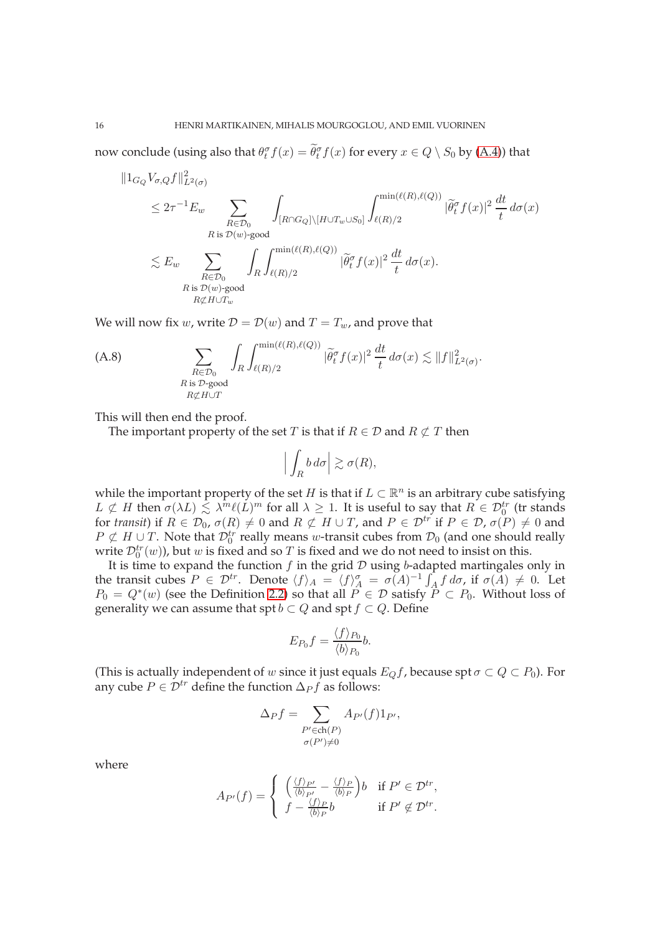now conclude (using also that  $\theta_t^{\sigma} f(x) = \widetilde{\theta}_t^{\sigma} f(x)$  for every  $x \in Q \setminus S_0$  by (A.4)) that

$$
||1_{G_Q} V_{\sigma,Q} f||_{L^2(\sigma)}^2
$$
  
\n
$$
\leq 2\tau^{-1} E_w \sum_{\substack{R \in \mathcal{D}_0 \\ R \text{ is } \mathcal{D}(w) \text{-good} \\ R \text{ is } \mathcal{D}(w) \text{-good} \\ R \text{ is } \mathcal{D}(w) \text{-good} \\ R \text{ is } \mathcal{D}(w) \text{-good} \\ R \text{ is } \mathcal{D}(w) \text{-good} \\ R \text{ is } \mathcal{D}(w) \text{-good} \\ R \text{ is } \mathcal{D}(w) \text{-good} \\ R \text{ is } \mathcal{D}(w) \text{-good} \\ R \text{ is } \mathcal{D}(w) \text{-good} \\ R \text{ is } \mathcal{D}(w) \text{-good} \\ R \text{ is } \mathcal{D}(w) \text{-good} \\ R \text{ is } \mathcal{D}(w) \text{-good} \\ R \text{ is } \mathcal{D}(w) \text{-good} \\ R \text{ is } \mathcal{D}(w) \text{-good} \\ R \text{ is } \mathcal{D}(w) \text{-good} \\ R \text{ is } \mathcal{D}(w) \text{-good} \\ R \text{ is } \mathcal{D}(w) \text{-good} \\ R \text{ is } \mathcal{D}(w) \text{-good} \\ R \text{ is } \mathcal{D}(w) \text{-good} \\ R \text{ is } \mathcal{D}(w) \text{-good} \\ R \text{ is } \mathcal{D}(w) \text{-good} \\ R \text{ is } \mathcal{D}(w) \text{-good} \\ R \text{ is } \mathcal{D}(w) \text{-good} \\ R \text{ is } \mathcal{D}(w) \text{-good} \\ R \text{ is } \mathcal{D}(w) \text{-good} \\ R \text{ is } \mathcal{D}(w) \text{-good} \\ R \text{ is } \mathcal{D}(w) \text{-good} \\ R \text{ is } \mathcal{D}(w) \text{-good} \\ R \text{ is } \mathcal{D}(w) \text{-good} \\ R \text{ is } \mathcal{D}(w) \text{-good} \\ R \text{ is } \mathcal{D}(w) \text{-good} \\ R \text{ is } \mathcal{D}(w) \text{-good} \\ R \text{ is } \mathcal{D}(w) \text{-good} \\ R \text{ is } \mathcal{D}(w) \text{-good} \\ R \text{ is } \mathcal{D}(w) \
$$

We will now fix w, write  $\mathcal{D} = \mathcal{D}(w)$  and  $T = T_w$ , and prove that

(A.8) 
$$
\sum_{\substack{R \in \mathcal{D}_0 \\ R \text{ is } \mathcal{D}\text{-good} \\ R \not\subset H \cup T}} \int_R \int_{\ell(R)/2}^{\min(\ell(R), \ell(Q))} |\widetilde{\theta}_t^{\sigma} f(x)|^2 \frac{dt}{t} d\sigma(x) \lesssim ||f||^2_{L^2(\sigma)}.
$$

This will then end the proof.

The important property of the set T is that if  $R \in \mathcal{D}$  and  $R \not\subset T$  then

$$
\left| \int_R b \, d\sigma \right| \gtrsim \sigma(R),
$$

while the important property of the set H is that if  $L \subset \mathbb{R}^n$  is an arbitrary cube satisfying  $L \not\subset H$  then  $\sigma(\lambda L) \lesssim \lambda^m \ell(L)^m$  for all  $\lambda \geq 1$ . It is useful to say that  $R \in \mathcal{D}_0^{tr}$  (tr stands for *transit*) if  $R \in \mathcal{D}_0$ ,  $\sigma(R) \neq 0$  and  $R \not\subset H \cup T$ , and  $P \in \mathcal{D}^{tr}$  if  $P \in \mathcal{D}$ ,  $\sigma(P) \neq 0$  and  $P \not\subset H \cup T$ . Note that  $\mathcal{D}_0^{tr}$  really means w-transit cubes from  $\mathcal{D}_0$  (and one should really write  $\mathcal{D}_0^{tr}(w)$ ), but w is fixed and so T is fixed and we do not need to insist on this.

It is time to expand the function  $f$  in the grid  $D$  using  $b$ -adapted martingales only in the transit cubes  $P \in \mathcal{D}^{tr}$ . Denote  $\langle f \rangle_A = \langle f \rangle_A^{\sigma} = \sigma(A)^{-1} \int_A f \, d\sigma$ , if  $\sigma(A) \neq 0$ . Let  $P_0 = Q^*(w)$  (see the Definition 2.2) so that all  $P \in \mathcal{D}$  satisfy  $P \subset P_0$ . Without loss of generality we can assume that spt  $b \subset Q$  and spt  $f \subset Q$ . Define

$$
E_{P_0}f = \frac{\langle f \rangle_{P_0}}{\langle b \rangle_{P_0}}b.
$$

(This is actually independent of w since it just equals  $E_Qf$ , because spt  $\sigma \subset Q \subset P_0$ ). For any cube  $P \in \mathcal{D}^{tr}$  define the function  $\Delta_P f$  as follows:

$$
\Delta_P f = \sum_{\substack{P' \in \text{ch}(P) \\ \sigma(P') \neq 0}} A_{P'}(f) 1_{P'},
$$

where

$$
A_{P'}(f) = \begin{cases} \left(\frac{\langle f \rangle_{P'}}{\langle b \rangle_{P'}} - \frac{\langle f \rangle_{P}}{\langle b \rangle_{P}}\right) b & \text{if } P' \in \mathcal{D}^{tr}, \\ f - \frac{\langle f \rangle_{P}}{\langle b \rangle_{P}} b & \text{if } P' \notin \mathcal{D}^{tr}. \end{cases}
$$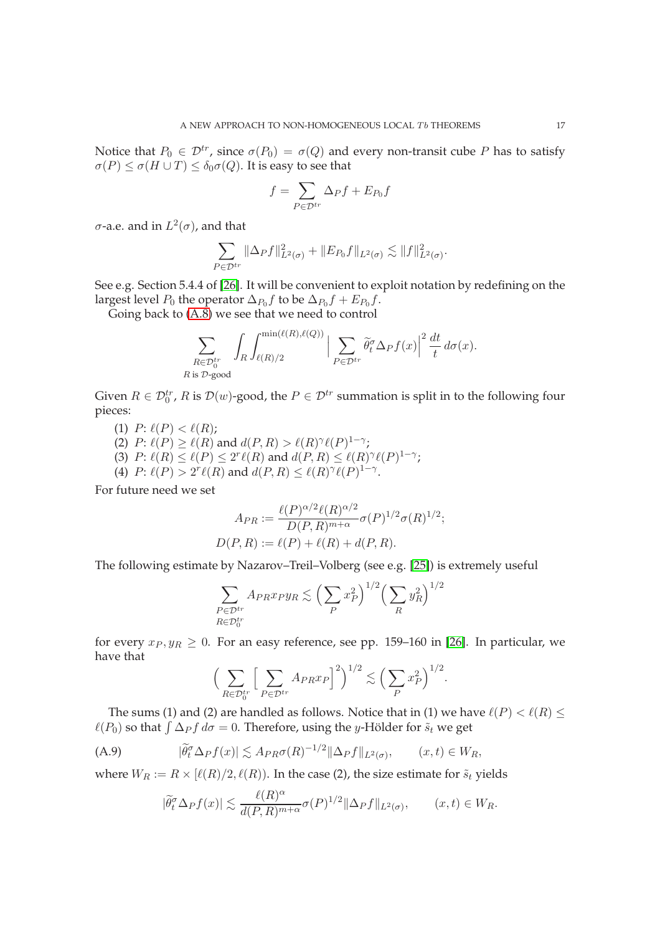Notice that  $P_0 \in \mathcal{D}^{tr}$ , since  $\sigma(P_0) = \sigma(Q)$  and every non-transit cube P has to satisfy  $\sigma(P) \leq \sigma(H \cup T) \leq \delta_0 \sigma(Q)$ . It is easy to see that

$$
f = \sum_{P \in \mathcal{D}^{tr}} \Delta_P f + E_{P_0} f
$$

 $\sigma$ -a.e. and in  $L^2(\sigma)$ , and that

$$
\sum_{P \in \mathcal{D}^{tr}} ||\Delta_P f||_{L^2(\sigma)}^2 + ||E_{P_0} f||_{L^2(\sigma)} \lesssim ||f||_{L^2(\sigma)}^2.
$$

See e.g. Section 5.4.4 of [26]. It will be convenient to exploit notation by redefining on the largest level  $P_0$  the operator  $\Delta_{P_0}f$  to be  $\Delta_{P_0}f + E_{P_0}f.$ 

Going back to (A.8) we see that we need to control

$$
\sum_{\substack{R \in \mathcal{D}_0^{tr} \\ R \text{ is } \mathcal{D}\text{-good}}} \int_R \int_{\ell(R)/2}^{\min(\ell(R), \ell(Q))} \Big| \sum_{P \in \mathcal{D}^{tr}} \widetilde{\theta}_t^{\sigma} \Delta_P f(x) \Big|^2 \frac{dt}{t} d\sigma(x).
$$

Given  $R \in \mathcal{D}_0^{tr}$ , R is  $\mathcal{D}(w)$ -good, the  $P \in \mathcal{D}^{tr}$  summation is split in to the following four pieces:

- (1)  $P: \ell(P) < \ell(R);$
- (2)  $P: \ell(P) \geq \ell(R)$  and  $d(P, R) > \ell(R)^{\gamma} \ell(P)^{1-\gamma}$ ;
- (3)  $P: \ell(R) \leq \ell(P) \leq 2^r \ell(R)$  and  $d(P, R) \leq \ell(R)^{\gamma} \ell(P)^{1-\gamma}$ ;
- (4)  $P: \ell(P) > 2^r \ell(R)$  and  $d(P, R) \leq \ell(R)^{\gamma} \ell(P)^{1-\gamma}$ .

For future need we set

$$
A_{PR} := \frac{\ell(P)^{\alpha/2} \ell(R)^{\alpha/2}}{D(P,R)^{m+\alpha}} \sigma(P)^{1/2} \sigma(R)^{1/2};
$$
  

$$
D(P,R) := \ell(P) + \ell(R) + d(P,R).
$$

The following estimate by Nazarov–Treil–Volberg (see e.g. [25]) is extremely useful

$$
\sum_{\substack{P \in \mathcal{D}^{tr} \\ R \in \mathcal{D}_0^{tr}}} A_{PR} x_{P} y_R \lesssim \Big(\sum_P x_P^2\Big)^{1/2} \Big(\sum_R y_R^2\Big)^{1/2}
$$

for every  $x_P, y_R \geq 0$ . For an easy reference, see pp. 159–160 in [26]. In particular, we have that

$$
\Big(\sum_{R\in\mathcal{D}_0^{tr}}\Big[\sum_{P\in\mathcal{D}^{tr}}A_{PR}x_P\Big]^2\Big)^{1/2}\lesssim \Big(\sum_{P}x_P^2\Big)^{1/2}.
$$

The sums (1) and (2) are handled as follows. Notice that in (1) we have  $\ell(P) < \ell(R) \leq$  $\ell(P_0)$  so that  $\int \Delta_P f \, d\sigma = 0$ . Therefore, using the y-Hölder for  $\tilde{s}_t$  we get

(A.9) 
$$
|\widetilde{\theta}_t^{\sigma} \Delta_P f(x)| \lesssim A_{PR} \sigma(R)^{-1/2} \|\Delta_P f\|_{L^2(\sigma)}, \qquad (x, t) \in W_R,
$$

where  $W_R := R \times [\ell(R)/2, \ell(R)]$ . In the case (2), the size estimate for  $\tilde{s}_t$  yields

$$
|\widetilde{\theta}_t^{\sigma} \Delta_P f(x)| \lesssim \frac{\ell(R)^{\alpha}}{d(P,R)^{m+\alpha}} \sigma(P)^{1/2} \|\Delta_P f\|_{L^2(\sigma)}, \qquad (x,t) \in W_R.
$$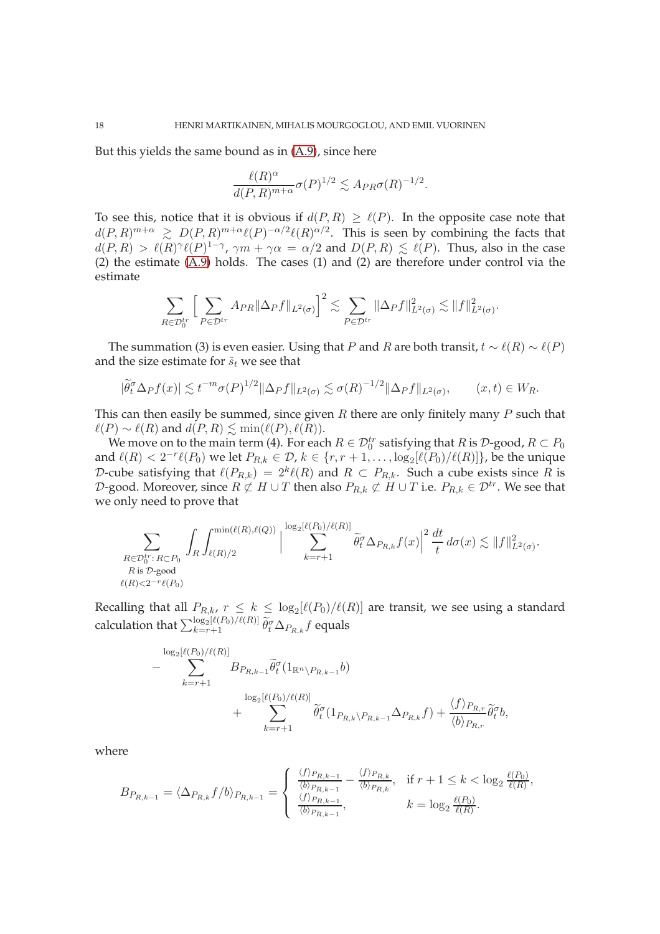But this yields the same bound as in (A.9), since here

$$
\frac{\ell(R)^{\alpha}}{d(P,R)^{m+\alpha}} \sigma(P)^{1/2} \lesssim A_{PR} \sigma(R)^{-1/2}.
$$

To see this, notice that it is obvious if  $d(P, R) \ge \ell(P)$ . In the opposite case note that  $d(P,R)^{m+\alpha} \ge D(P,R)^{m+\alpha} \ell(P)^{-\alpha/2} \ell(R)^{\alpha/2}$ . This is seen by combining the facts that  $d(P,R) > \ell(R)^{\gamma}\ell(P)^{1-\gamma}, \gamma m + \gamma\alpha = \alpha/2$  and  $D(P,R) \leq \ell(P)$ . Thus, also in the case (2) the estimate (A.9) holds. The cases (1) and (2) are therefore under control via the estimate

$$
\sum_{R\in\mathcal{D}_0^{tr}}\Big[\sum_{P\in\mathcal{D}^{tr}}A_{PR}\|\Delta_P f\|_{L^2(\sigma)}\Big]^2\lesssim \sum_{P\in\mathcal{D}^{tr}}\|\Delta_P f\|_{L^2(\sigma)}^2\lesssim \|f\|_{L^2(\sigma)}^2.
$$

The summation (3) is even easier. Using that P and R are both transit,  $t \sim \ell(R) \sim \ell(P)$ and the size estimate for  $\tilde{s}_t$  we see that

$$
|\widetilde{\theta_t^{\sigma}} \Delta_P f(x)| \lesssim t^{-m} \sigma(P)^{1/2} \|\Delta_P f\|_{L^2(\sigma)} \lesssim \sigma(R)^{-1/2} \|\Delta_P f\|_{L^2(\sigma)}, \qquad (x, t) \in W_R.
$$

This can then easily be summed, since given  $R$  there are only finitely many  $P$  such that  $\ell(P) \sim \ell(R)$  and  $d(P, R)$   $\leq$  min( $\ell(P), \ell(R)$ ).

We move on to the main term (4). For each  $R \in \mathcal{D}_0^{tr}$  satisfying that  $R$  is  $\mathcal{D}\text{-good}, R \subset P_0$ and  $\ell(R) < 2^{-r}\ell(P_0)$  we let  $P_{R,k} \in \mathcal{D}$ ,  $k \in \{r, r+1, \ldots, \log_2[\ell(P_0)/\ell(R)]\}$ , be the unique D-cube satisfying that  $\ell(P_{R,k}) = 2^k \ell(R)$  and  $R \subset P_{R,k}$ . Such a cube exists since  $R$  is D-good. Moreover, since  $R \not\subset H \cup T$  then also  $P_{R,k} \not\subset H \cup T$  i.e.  $P_{R,k} \in \mathcal{D}^{tr}$ . We see that we only need to prove that

$$
\sum_{\substack{R \in \mathcal{D}_0^{tr}: R \subset P_0 \\ R \text{ is } \mathcal{D}\text{-good} \\ \ell(R) < 2^{-r} \ell(P_0)}} \int_R \int_{\ell(R)/2}^{\min(\ell(R),\ell(Q))} \Big| \sum_{k=r+1}^{\log_2[\ell(P_0)/\ell(R)]} \widetilde{\theta}_t^{\sigma} \Delta_{P_{R,k}} f(x) \Big|^2 \frac{dt}{t} \, d\sigma(x) \lesssim \|f\|_{L^2(\sigma)}^2.
$$

Recalling that all  $P_{R,k}$ ,  $r \leq k \leq \log_2[\ell(P_0)/\ell(R)]$  are transit, we see using a standard calculation that  $\sum_{k=r+1}^{\log_2[\ell(P_0)/\ell(R)]}\widetilde\theta_t^\sigma\Delta_{P_{R,k}}f$  equals

$$
- \sum_{k=r+1}^{\log_2[\ell(P_0)/\ell(R)]} B_{P_{R,k-1}} \widetilde{\theta}_t^{\sigma} (1_{\mathbb{R}^n \setminus P_{R,k-1}} b) + \sum_{k=r+1}^{\log_2[\ell(P_0)/\ell(R)]} \widetilde{\theta}_t^{\sigma} (1_{P_{R,k} \setminus P_{R,k-1}} \Delta_{P_{R,k}} f) + \frac{\langle f \rangle_{P_{R,r}}}{\langle b \rangle_{P_{R,r}}} \widetilde{\theta}_t^{\sigma} b,
$$

where

$$
B_{P_{R,k-1}} = \langle \Delta_{P_{R,k}} f/b \rangle_{P_{R,k-1}} = \begin{cases} \frac{\langle f \rangle_{P_{R,k-1}}}{\langle b \rangle_{P_{R,k-1}}} - \frac{\langle f \rangle_{P_{R,k}}}{\langle b \rangle_{P_{R,k}}} & \text{if } r+1 \leq k < \log_2 \frac{\ell(P_0)}{\ell(R)},\\ \frac{\langle f \rangle_{P_{R,k-1}}}{\langle b \rangle_{P_{R,k-1}}} & k = \log_2 \frac{\ell(P_0)}{\ell(R)}. \end{cases}
$$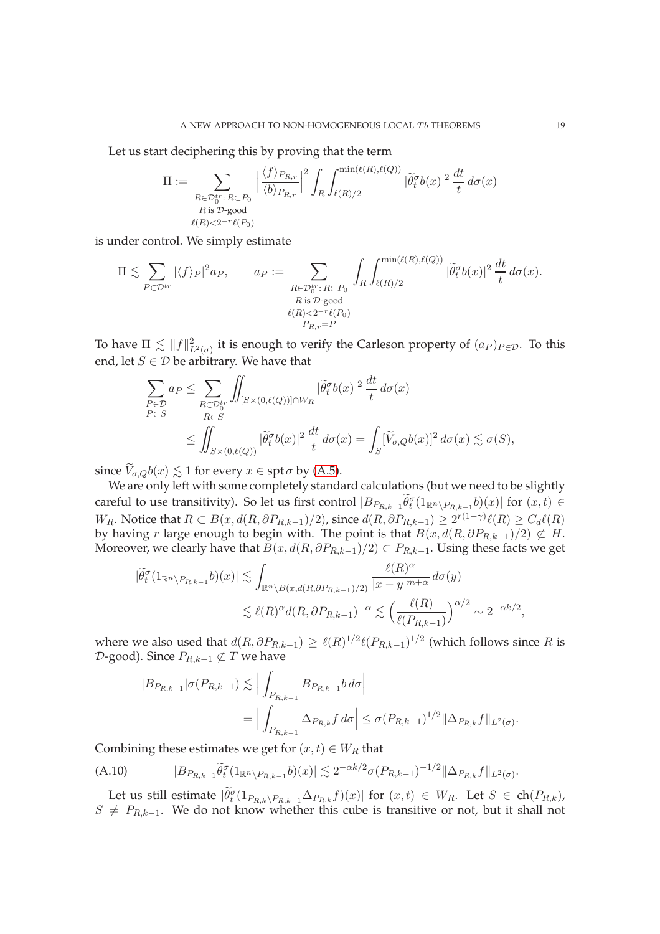Let us start deciphering this by proving that the term

$$
\Pi := \sum_{\substack{R \in \mathcal{D}_0^{tr}: R \subset P_0 \\ R \text{ is } \mathcal{D} \text{-good} \\ \ell(R) < 2^{-r} \ell(P_0)}} \left| \frac{\langle f \rangle_{P_{R,r}}}{\langle b \rangle_{P_{R,r}}} \right|^2 \int_R \int_{\ell(R)/2}^{\min(\ell(R), \ell(Q))} |\widetilde{\theta}_t^{\sigma} b(x)|^2 \frac{dt}{t} d\sigma(x)
$$

is under control. We simply estimate

$$
\Pi \lesssim \sum_{P \in \mathcal{D}^{tr}} |\langle f \rangle_P|^2 a_P, \qquad a_P := \sum_{\substack{R \in \mathcal{D}_0^{tr}: R \subset P_0 \\ R \text{ is } \mathcal{D}\text{-good} \\ \ell(R) < 2^{-r} \ell(P_0) \\ P_{R,r} = P}} \int_R \int_{\ell(R)/2}^{\min(\ell(R), \ell(Q))} |\widetilde{\theta}_t^{\sigma} b(x)|^2 \frac{dt}{t} d\sigma(x).
$$

To have  $\Pi \lesssim ||f||^2_{L^2(\sigma)}$  it is enough to verify the Carleson property of  $(a_P)_{P \in \mathcal{D}}$ . To this end, let  $S \in \mathcal{D}$  be arbitrary. We have that

$$
\sum_{P \in \mathcal{D}} a_P \leq \sum_{\substack{R \in \mathcal{D}_0^{tr} \\ R \subset S}} \iint_{[S \times (0,\ell(Q))] \cap W_R} |\widetilde{\theta}_t^{\sigma} b(x)|^2 \frac{dt}{t} d\sigma(x)
$$
\n
$$
\leq \iint_{S \times (0,\ell(Q))} |\widetilde{\theta}_t^{\sigma} b(x)|^2 \frac{dt}{t} d\sigma(x) = \int_S [\widetilde{V}_{\sigma,Q} b(x)]^2 d\sigma(x) \lesssim \sigma(S),
$$

since  $\widetilde{V}_{\sigma,Q}b(x) \lesssim 1$  for every  $x \in \operatorname{spt} \sigma$  by (A.5).

We are only left with some completely standard calculations (but we need to be slightly careful to use transitivity). So let us first control  $|B_{P_{R,k-1}} \widetilde{\theta}_t^{\sigma}(1_{\mathbb{R}^n \setminus P_{R,k-1}} b)(x)|$  for  $(x,t) \in$ W<sub>R</sub>. Notice that  $R \subset B(x, d(R, \partial P_{R,k-1})/2)$ , since  $d(R, \partial P_{R,k-1}) \geq 2^{r(1-\gamma)}\ell(R) \geq C_d\ell(R)$ by having r large enough to begin with. The point is that  $B(x, d(R, \partial P_{R,k-1})/2) \not\subset H$ . Moreover, we clearly have that  $B(x, d(R, \partial P_{R,k-1})/2) \subset P_{R,k-1}$ . Using these facts we get

$$
|\widetilde{\theta}_{t}^{\sigma}(1_{\mathbb{R}^{n}\backslash P_{R,k-1}}b)(x)| \lesssim \int_{\mathbb{R}^{n}\backslash B(x,d(R,\partial P_{R,k-1})/2)} \frac{\ell(R)^{\alpha}}{|x-y|^{m+\alpha}} d\sigma(y)
$$
  

$$
\lesssim \ell(R)^{\alpha} d(R,\partial P_{R,k-1})^{-\alpha} \lesssim \left(\frac{\ell(R)}{\ell(P_{R,k-1})}\right)^{\alpha/2} \sim 2^{-\alpha k/2},
$$

where we also used that  $d(R, \partial P_{R,k-1}) \ge \ell(R)^{1/2} \ell(P_{R,k-1})^{1/2}$  (which follows since  $R$  is  $D$ -good). Since  $P_{R,k-1} \not\subset T$  we have

$$
|B_{P_{R,k-1}}|\sigma(P_{R,k-1}) \lesssim \Big| \int_{P_{R,k-1}} B_{P_{R,k-1}} b \, d\sigma \Big|
$$
  
= 
$$
\Big| \int_{P_{R,k-1}} \Delta_{P_{R,k}} f \, d\sigma \Big| \leq \sigma (P_{R,k-1})^{1/2} \|\Delta_{P_{R,k}} f\|_{L^2(\sigma)}.
$$

Combining these estimates we get for  $(x, t) \in W_R$  that

(A.10) 
$$
|B_{P_{R,k-1}}\tilde{\theta}_t^{\sigma}(1_{\mathbb{R}^n\setminus P_{R,k-1}}b)(x)| \lesssim 2^{-\alpha k/2} \sigma(P_{R,k-1})^{-1/2} \|\Delta_{P_{R,k}}f\|_{L^2(\sigma)}.
$$

Let us still estimate  $|\widetilde{\theta}_t^{\sigma}(1_{P_{R,k}\setminus P_{R,k-1}}\Delta_{P_{R,k}}f)(x)|$  for  $(x,t)\in W_R$ . Let  $S\in \text{ch}(P_{R,k})$ ,  $S \neq P_{R,k-1}$ . We do not know whether this cube is transitive or not, but it shall not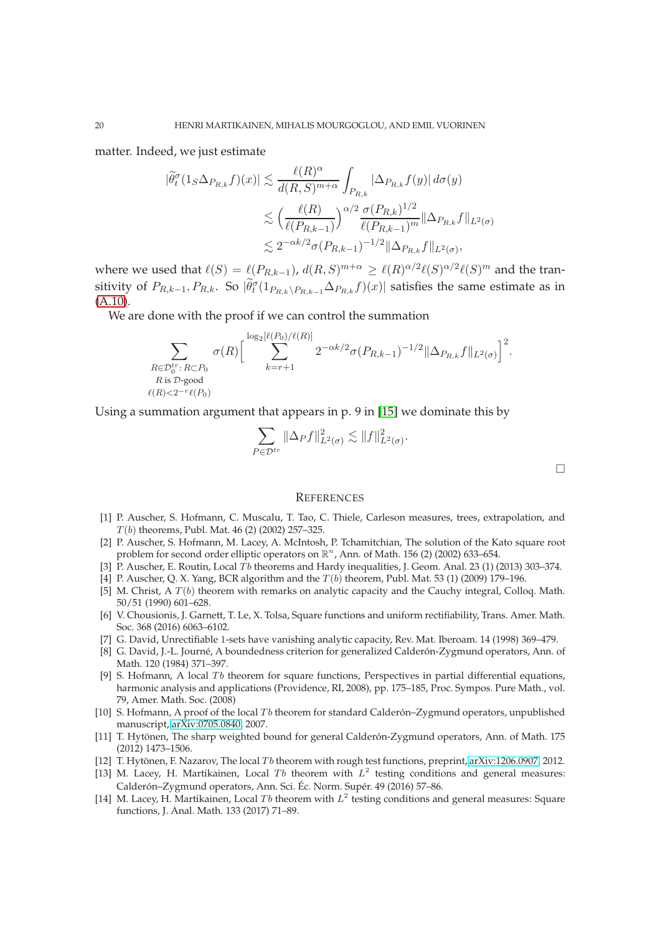matter. Indeed, we just estimate

$$
|\widetilde{\theta}_{t}^{\sigma}(1_{S}\Delta_{P_{R,k}}f)(x)| \lesssim \frac{\ell(R)^{\alpha}}{d(R,S)^{m+\alpha}} \int_{P_{R,k}} |\Delta_{P_{R,k}}f(y)| d\sigma(y)
$$
  

$$
\lesssim \left(\frac{\ell(R)}{\ell(P_{R,k-1})}\right)^{\alpha/2} \frac{\sigma(P_{R,k})^{1/2}}{\ell(P_{R,k-1})^m} \|\Delta_{P_{R,k}}f\|_{L^{2}(\sigma)}
$$
  

$$
\lesssim 2^{-\alpha k/2} \sigma(P_{R,k-1})^{-1/2} \|\Delta_{P_{R,k}}f\|_{L^{2}(\sigma)},
$$

where we used that  $\ell(S) = \ell(P_{R,k-1})$ ,  $d(R,S)^{m+\alpha} \geq \ell(R)^{\alpha/2} \ell(S)^{\alpha/2} \ell(S)^m$  and the transitivity of  $P_{R,k-1},P_{R,k}.$  So  $|\tilde{\theta}_t^{\sigma}(1_{P_{R,k}\setminus P_{R,k-1}}\Delta_{P_{R,k}}f)(x)|$  satisfies the same estimate as in (A.10).

We are done with the proof if we can control the summation

$$
\sum_{\substack{R \in \mathcal{D}_0^{tr}: R \subset P_0 \\ R \text{ is } \mathcal{D}\text{-good} \\ \ell(R) < 2^{-r} \ell(P_0)}} \sigma(R) \Big[ \sum_{k=r+1}^{\log_2[\ell(P_0)/\ell(R)]} 2^{-\alpha k/2} \sigma(P_{R,k-1})^{-1/2} \|\Delta_{P_{R,k}} f\|_{L^2(\sigma)} \Big]^2.
$$

Using a summation argument that appears in p. 9 in [15] we dominate this by

$$
\sum_{P \in \mathcal{D}^{tr}} \|\Delta_P f\|_{L^2(\sigma)}^2 \lesssim \|f\|_{L^2(\sigma)}^2.
$$

 $\Box$ 

#### **REFERENCES**

- [1] P. Auscher, S. Hofmann, C. Muscalu, T. Tao, C. Thiele, Carleson measures, trees, extrapolation, and  $T(b)$  theorems, Publ. Mat. 46 (2) (2002) 257-325.
- [2] P. Auscher, S. Hofmann, M. Lacey, A. McIntosh, P. Tchamitchian, The solution of the Kato square root problem for second order elliptic operators on  $\mathbb{R}^n$ , Ann. of Math. 156 (2) (2002) 633-654.
- [3] P. Auscher, E. Routin, Local Tb theorems and Hardy inequalities, J. Geom. Anal. 23 (1) (2013) 303–374.
- [4] P. Auscher, Q. X. Yang, BCR algorithm and the  $T(b)$  theorem, Publ. Mat. 53 (1) (2009) 179–196.
- [5] M. Christ,  $A T(b)$  theorem with remarks on analytic capacity and the Cauchy integral, Colloq. Math. 50/51 (1990) 601–628.
- [6] V. Chousionis, J. Garnett, T. Le, X. Tolsa, Square functions and uniform rectifiability, Trans. Amer. Math. Soc. 368 (2016) 6063–6102.
- [7] G. David, Unrectifiable 1-sets have vanishing analytic capacity, Rev. Mat. Iberoam. 14 (1998) 369–479.
- [8] G. David, J.-L. Journé, A boundedness criterion for generalized Calderón-Zygmund operators, Ann. of Math. 120 (1984) 371–397.
- [9] S. Hofmann, A local  $Tb$  theorem for square functions, Perspectives in partial differential equations, harmonic analysis and applications (Providence, RI, 2008), pp. 175–185, Proc. Sympos. Pure Math., vol. 79, Amer. Math. Soc. (2008)
- [10] S. Hofmann, A proof of the local  $Tb$  theorem for standard Calderón–Zygmund operators, unpublished manuscript, [arXiv:0705.0840,](http://arxiv.org/abs/0705.0840) 2007.
- [11] T. Hytönen, The sharp weighted bound for general Calderón-Zygmund operators, Ann. of Math. 175 (2012) 1473–1506.
- [12] T. Hytönen, F. Nazarov, The local Tb theorem with rough test functions, preprint, [arXiv:1206.0907,](http://arxiv.org/abs/1206.0907) 2012.
- [13] M. Lacey, H. Martikainen, Local Tb theorem with  $L^2$  testing conditions and general measures: Calderón–Zygmund operators, Ann. Sci. Éc. Norm. Supér. 49 (2016) 57–86.
- [14] M. Lacey, H. Martikainen, Local Tb theorem with  $L^2$  testing conditions and general measures: Square functions, J. Anal. Math. 133 (2017) 71–89.